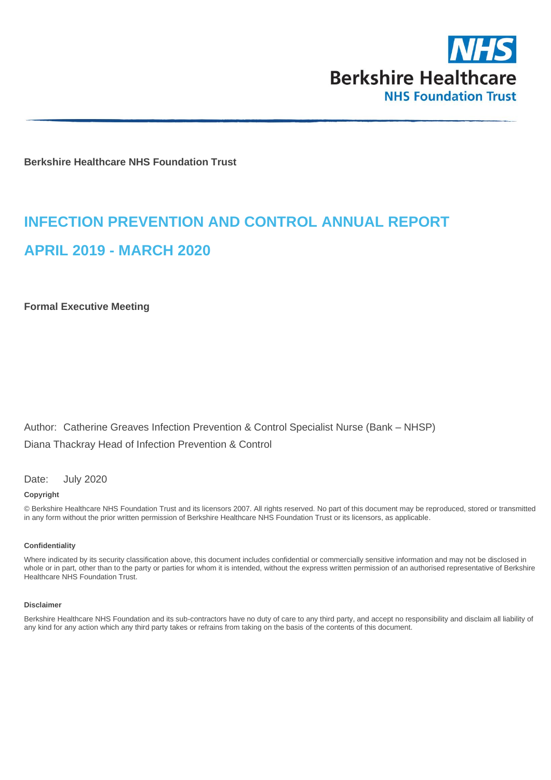

**Berkshire Healthcare NHS Foundation Trust**

# **INFECTION PREVENTION AND CONTROL ANNUAL REPORT APRIL 2019 - MARCH 2020**

**Formal Executive Meeting**

Author: Catherine Greaves Infection Prevention & Control Specialist Nurse (Bank – NHSP) Diana Thackray Head of Infection Prevention & Control

Date: July 2020

#### **Copyright**

© Berkshire Healthcare NHS Foundation Trust and its licensors 2007. All rights reserved. No part of this document may be reproduced, stored or transmitted in any form without the prior written permission of Berkshire Healthcare NHS Foundation Trust or its licensors, as applicable.

#### **Confidentiality**

Where indicated by its security classification above, this document includes confidential or commercially sensitive information and may not be disclosed in whole or in part, other than to the party or parties for whom it is intended, without the express written permission of an authorised representative of Berkshire Healthcare NHS Foundation Trust.

#### **Disclaimer**

Berkshire Healthcare NHS Foundation and its sub-contractors have no duty of care to any third party, and accept no responsibility and disclaim all liability of any kind for any action which any third party takes or refrains from taking on the basis of the contents of this document.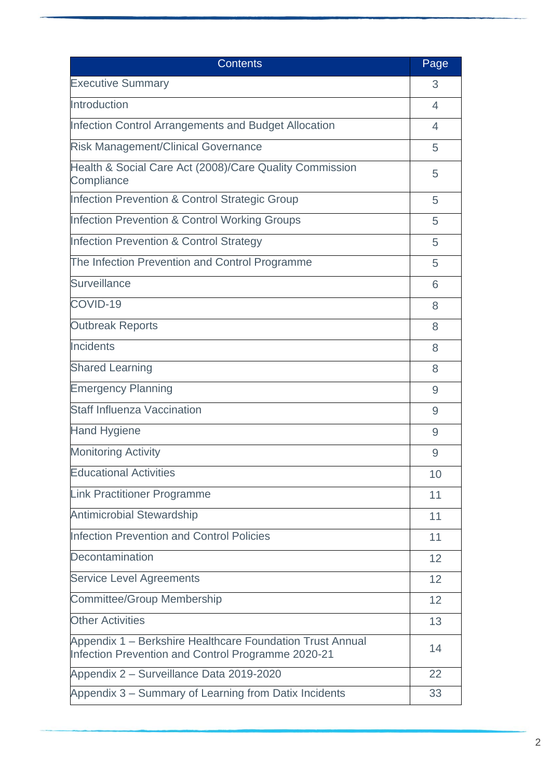| <b>Contents</b>                                                                                                 | Page           |
|-----------------------------------------------------------------------------------------------------------------|----------------|
| <b>Executive Summary</b>                                                                                        | 3              |
| Introduction                                                                                                    | $\overline{4}$ |
| Infection Control Arrangements and Budget Allocation                                                            | 4              |
| <b>Risk Management/Clinical Governance</b>                                                                      | 5              |
| Health & Social Care Act (2008)/Care Quality Commission<br>Compliance                                           | 5              |
| <b>Infection Prevention &amp; Control Strategic Group</b>                                                       | 5              |
| <b>Infection Prevention &amp; Control Working Groups</b>                                                        | 5              |
| <b>Infection Prevention &amp; Control Strategy</b>                                                              | 5              |
| The Infection Prevention and Control Programme                                                                  | 5              |
| <b>Surveillance</b>                                                                                             | 6              |
| COVID-19                                                                                                        | 8              |
| <b>Outbreak Reports</b>                                                                                         | 8              |
| Incidents                                                                                                       | 8              |
| <b>Shared Learning</b>                                                                                          | 8              |
| <b>Emergency Planning</b>                                                                                       | 9              |
| <b>Staff Influenza Vaccination</b>                                                                              | 9              |
| <b>Hand Hygiene</b>                                                                                             | 9              |
| <b>Monitoring Activity</b>                                                                                      | 9              |
| <b>Educational Activities</b>                                                                                   | 10             |
| <b>Link Practitioner Programme</b>                                                                              | 11             |
| <b>Antimicrobial Stewardship</b>                                                                                | 11             |
| <b>Infection Prevention and Control Policies</b>                                                                | 11             |
| Decontamination                                                                                                 | 12             |
| <b>Service Level Agreements</b>                                                                                 | 12             |
| <b>Committee/Group Membership</b>                                                                               | 12             |
| <b>Other Activities</b>                                                                                         | 13             |
| Appendix 1 - Berkshire Healthcare Foundation Trust Annual<br>Infection Prevention and Control Programme 2020-21 | 14             |
| Appendix 2 - Surveillance Data 2019-2020                                                                        | 22             |
| Appendix 3 – Summary of Learning from Datix Incidents                                                           | 33             |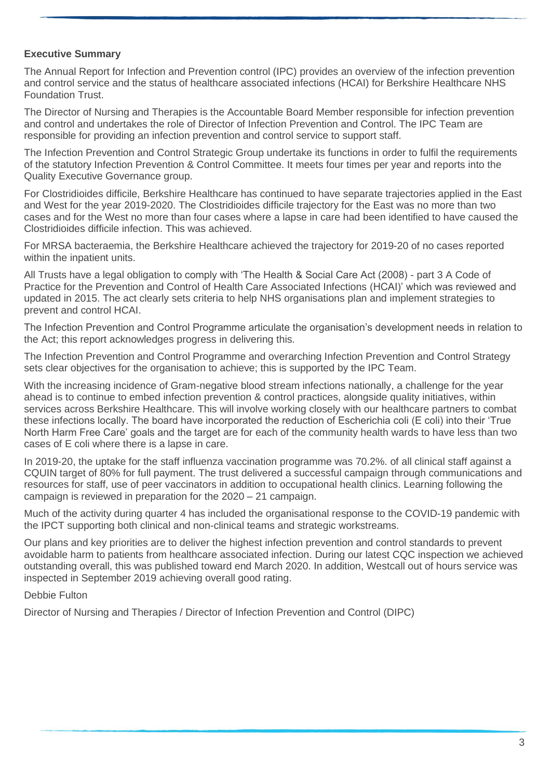### **Executive Summary**

The Annual Report for Infection and Prevention control (IPC) provides an overview of the infection prevention and control service and the status of healthcare associated infections (HCAI) for Berkshire Healthcare NHS Foundation Trust.

The Director of Nursing and Therapies is the Accountable Board Member responsible for infection prevention and control and undertakes the role of Director of Infection Prevention and Control. The IPC Team are responsible for providing an infection prevention and control service to support staff.

The Infection Prevention and Control Strategic Group undertake its functions in order to fulfil the requirements of the statutory Infection Prevention & Control Committee. It meets four times per year and reports into the Quality Executive Governance group.

For Clostridioides difficile, Berkshire Healthcare has continued to have separate trajectories applied in the East and West for the year 2019-2020. The Clostridioides difficile trajectory for the East was no more than two cases and for the West no more than four cases where a lapse in care had been identified to have caused the Clostridioides difficile infection. This was achieved.

For MRSA bacteraemia, the Berkshire Healthcare achieved the trajectory for 2019-20 of no cases reported within the inpatient units.

All Trusts have a legal obligation to comply with 'The Health & Social Care Act (2008) - part 3 A Code of Practice for the Prevention and Control of Health Care Associated Infections (HCAI)' which was reviewed and updated in 2015. The act clearly sets criteria to help NHS organisations plan and implement strategies to prevent and control HCAI.

The Infection Prevention and Control Programme articulate the organisation's development needs in relation to the Act; this report acknowledges progress in delivering this.

The Infection Prevention and Control Programme and overarching Infection Prevention and Control Strategy sets clear objectives for the organisation to achieve; this is supported by the IPC Team.

With the increasing incidence of Gram-negative blood stream infections nationally, a challenge for the year ahead is to continue to embed infection prevention & control practices, alongside quality initiatives, within services across Berkshire Healthcare. This will involve working closely with our healthcare partners to combat these infections locally. The board have incorporated the reduction of Escherichia coli (E coli) into their 'True North Harm Free Care' goals and the target are for each of the community health wards to have less than two cases of E coli where there is a lapse in care.

In 2019-20, the uptake for the staff influenza vaccination programme was 70.2%. of all clinical staff against a CQUIN target of 80% for full payment. The trust delivered a successful campaign through communications and resources for staff, use of peer vaccinators in addition to occupational health clinics. Learning following the campaign is reviewed in preparation for the 2020 – 21 campaign.

Much of the activity during quarter 4 has included the organisational response to the COVID-19 pandemic with the IPCT supporting both clinical and non-clinical teams and strategic workstreams.

Our plans and key priorities are to deliver the highest infection prevention and control standards to prevent avoidable harm to patients from healthcare associated infection. During our latest CQC inspection we achieved outstanding overall, this was published toward end March 2020. In addition, Westcall out of hours service was inspected in September 2019 achieving overall good rating.

Debbie Fulton

Director of Nursing and Therapies / Director of Infection Prevention and Control (DIPC)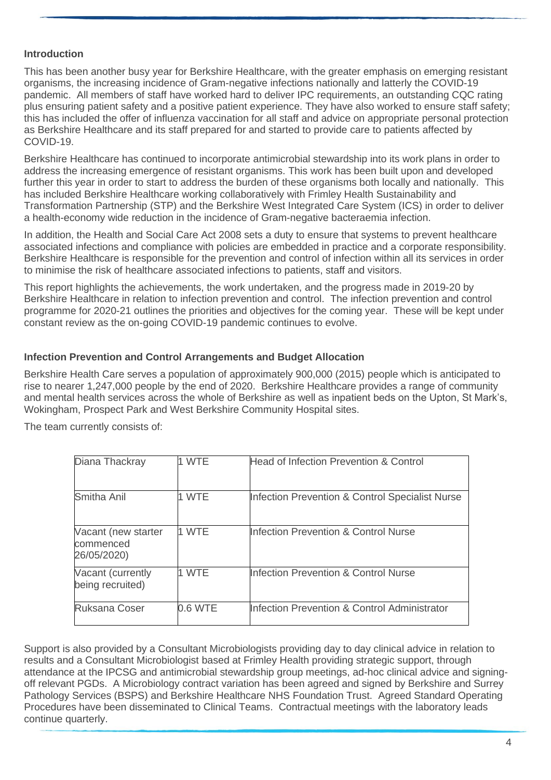### **Introduction**

This has been another busy year for Berkshire Healthcare, with the greater emphasis on emerging resistant organisms, the increasing incidence of Gram-negative infections nationally and latterly the COVID-19 pandemic. All members of staff have worked hard to deliver IPC requirements, an outstanding CQC rating plus ensuring patient safety and a positive patient experience. They have also worked to ensure staff safety; this has included the offer of influenza vaccination for all staff and advice on appropriate personal protection as Berkshire Healthcare and its staff prepared for and started to provide care to patients affected by COVID-19.

Berkshire Healthcare has continued to incorporate antimicrobial stewardship into its work plans in order to address the increasing emergence of resistant organisms. This work has been built upon and developed further this year in order to start to address the burden of these organisms both locally and nationally. This has included Berkshire Healthcare working collaboratively with Frimley Health Sustainability and Transformation Partnership (STP) and the Berkshire West Integrated Care System (ICS) in order to deliver a health-economy wide reduction in the incidence of Gram-negative bacteraemia infection.

In addition, the Health and Social Care Act 2008 sets a duty to ensure that systems to prevent healthcare associated infections and compliance with policies are embedded in practice and a corporate responsibility. Berkshire Healthcare is responsible for the prevention and control of infection within all its services in order to minimise the risk of healthcare associated infections to patients, staff and visitors.

This report highlights the achievements, the work undertaken, and the progress made in 2019-20 by Berkshire Healthcare in relation to infection prevention and control. The infection prevention and control programme for 2020-21 outlines the priorities and objectives for the coming year. These will be kept under constant review as the on-going COVID-19 pandemic continues to evolve.

### **Infection Prevention and Control Arrangements and Budget Allocation**

Berkshire Health Care serves a population of approximately 900,000 (2015) people which is anticipated to rise to nearer 1,247,000 people by the end of 2020. Berkshire Healthcare provides a range of community and mental health services across the whole of Berkshire as well as inpatient beds on the Upton, St Mark's, Wokingham, Prospect Park and West Berkshire Community Hospital sites.

The team currently consists of:

| Diana Thackray                                  | 1 WTE   | <b>Head of Infection Prevention &amp; Control</b> |
|-------------------------------------------------|---------|---------------------------------------------------|
| Smitha Anil                                     | 1 WTE   | Infection Prevention & Control Specialist Nurse   |
| Vacant (new starter<br>commenced<br>26/05/2020) | 1 WTE   | <b>Infection Prevention &amp; Control Nurse</b>   |
| Vacant (currently<br>being recruited)           | 1 WTF   | <b>Infection Prevention &amp; Control Nurse</b>   |
| <b>Ruksana Coser</b>                            | 0.6 WTE | Infection Prevention & Control Administrator      |

Support is also provided by a Consultant Microbiologists providing day to day clinical advice in relation to results and a Consultant Microbiologist based at Frimley Health providing strategic support, through attendance at the IPCSG and antimicrobial stewardship group meetings, ad-hoc clinical advice and signingoff relevant PGDs. A Microbiology contract variation has been agreed and signed by Berkshire and Surrey Pathology Services (BSPS) and Berkshire Healthcare NHS Foundation Trust. Agreed Standard Operating Procedures have been disseminated to Clinical Teams. Contractual meetings with the laboratory leads continue quarterly.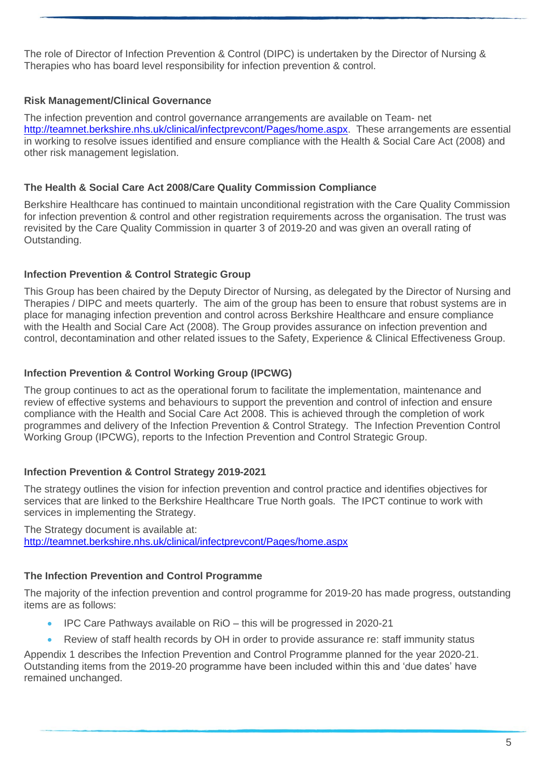The role of Director of Infection Prevention & Control (DIPC) is undertaken by the Director of Nursing & Therapies who has board level responsibility for infection prevention & control.

### **Risk Management/Clinical Governance**

The infection prevention and control governance arrangements are available on Team- net [http://teamnet.berkshire.nhs.uk/clinical/infectprevcont/Pages/home.aspx.](http://teamnet.berkshire.nhs.uk/clinical/infectprevcont/Pages/home.aspx) These arrangements are essential in working to resolve issues identified and ensure compliance with the Health & Social Care Act (2008) and other risk management legislation.

### **The Health & Social Care Act 2008/Care Quality Commission Compliance**

Berkshire Healthcare has continued to maintain unconditional registration with the Care Quality Commission for infection prevention & control and other registration requirements across the organisation. The trust was revisited by the Care Quality Commission in quarter 3 of 2019-20 and was given an overall rating of Outstanding.

### **Infection Prevention & Control Strategic Group**

This Group has been chaired by the Deputy Director of Nursing, as delegated by the Director of Nursing and Therapies / DIPC and meets quarterly. The aim of the group has been to ensure that robust systems are in place for managing infection prevention and control across Berkshire Healthcare and ensure compliance with the Health and Social Care Act (2008). The Group provides assurance on infection prevention and control, decontamination and other related issues to the Safety, Experience & Clinical Effectiveness Group.

### **Infection Prevention & Control Working Group (IPCWG)**

The group continues to act as the operational forum to facilitate the implementation, maintenance and review of effective systems and behaviours to support the prevention and control of infection and ensure compliance with the Health and Social Care Act 2008. This is achieved through the completion of work programmes and delivery of the Infection Prevention & Control Strategy. The Infection Prevention Control Working Group (IPCWG), reports to the Infection Prevention and Control Strategic Group.

### **Infection Prevention & Control Strategy 2019-2021**

The strategy outlines the vision for infection prevention and control practice and identifies objectives for services that are linked to the Berkshire Healthcare True North goals. The IPCT continue to work with services in implementing the Strategy.

The Strategy document is available at: <http://teamnet.berkshire.nhs.uk/clinical/infectprevcont/Pages/home.aspx>

### **The Infection Prevention and Control Programme**

The majority of the infection prevention and control programme for 2019-20 has made progress, outstanding items are as follows:

- IPC Care Pathways available on RiO this will be progressed in 2020-21
- Review of staff health records by OH in order to provide assurance re: staff immunity status

Appendix 1 describes the Infection Prevention and Control Programme planned for the year 2020-21. Outstanding items from the 2019-20 programme have been included within this and 'due dates' have remained unchanged.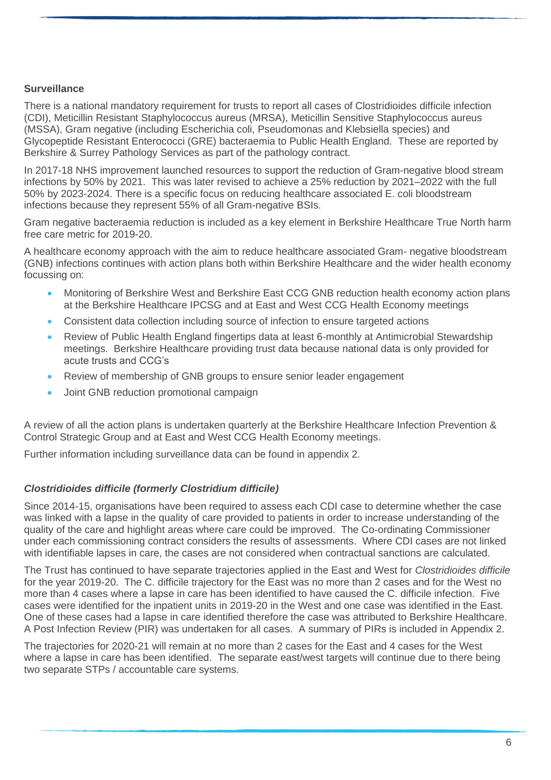### **Surveillance**

There is a national mandatory requirement for trusts to report all cases of Clostridioides difficile infection (CDI), Meticillin Resistant Staphylococcus aureus (MRSA), Meticillin Sensitive Staphylococcus aureus (MSSA), Gram negative (including Escherichia coli, Pseudomonas and Klebsiella species) and Glycopeptide Resistant Enterococci (GRE) bacteraemia to Public Health England. These are reported by Berkshire & Surrey Pathology Services as part of the pathology contract.

In 2017-18 NHS improvement launched resources to support the reduction of Gram-negative blood stream infections by 50% by 2021. This was later revised to achieve a 25% reduction by 2021–2022 with the full 50% by 2023-2024. There is a specific focus on reducing healthcare associated E. coli bloodstream infections because they represent 55% of all Gram-negative BSIs.

Gram negative bacteraemia reduction is included as a key element in Berkshire Healthcare True North harm free care metric for 2019-20.

A healthcare economy approach with the aim to reduce healthcare associated Gram- negative bloodstream (GNB) infections continues with action plans both within Berkshire Healthcare and the wider health economy focussing on:

- Monitoring of Berkshire West and Berkshire East CCG GNB reduction health economy action plans at the Berkshire Healthcare IPCSG and at East and West CCG Health Economy meetings
- Consistent data collection including source of infection to ensure targeted actions
- Review of Public Health England fingertips data at least 6-monthly at Antimicrobial Stewardship meetings. Berkshire Healthcare providing trust data because national data is only provided for acute trusts and CCG's
- Review of membership of GNB groups to ensure senior leader engagement
- Joint GNB reduction promotional campaign

A review of all the action plans is undertaken quarterly at the Berkshire Healthcare Infection Prevention & Control Strategic Group and at East and West CCG Health Economy meetings.

Further information including surveillance data can be found in appendix 2.

### *Clostridioides difficile (formerly Clostridium difficile)*

Since 2014-15, organisations have been required to assess each CDI case to determine whether the case was linked with a lapse in the quality of care provided to patients in order to increase understanding of the quality of the care and highlight areas where care could be improved. The Co-ordinating Commissioner under each commissioning contract considers the results of assessments. Where CDI cases are not linked with identifiable lapses in care, the cases are not considered when contractual sanctions are calculated.

The Trust has continued to have separate trajectories applied in the East and West for *Clostridioides difficile*  for the year 2019-20. The C. difficile trajectory for the East was no more than 2 cases and for the West no more than 4 cases where a lapse in care has been identified to have caused the C. difficile infection. Five cases were identified for the inpatient units in 2019-20 in the West and one case was identified in the East. One of these cases had a lapse in care identified therefore the case was attributed to Berkshire Healthcare. A Post Infection Review (PIR) was undertaken for all cases. A summary of PIRs is included in Appendix 2.

The trajectories for 2020-21 will remain at no more than 2 cases for the East and 4 cases for the West where a lapse in care has been identified. The separate east/west targets will continue due to there being two separate STPs / accountable care systems.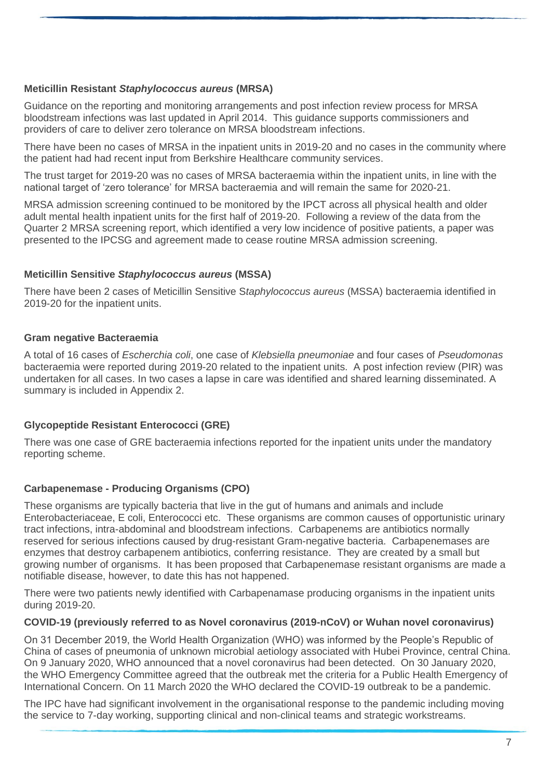### **Meticillin Resistant** *Staphylococcus aureus* **(MRSA)**

Guidance on the reporting and monitoring arrangements and post infection review process for MRSA bloodstream infections was last updated in April 2014. This guidance supports commissioners and providers of care to deliver zero tolerance on MRSA bloodstream infections.

There have been no cases of MRSA in the inpatient units in 2019-20 and no cases in the community where the patient had had recent input from Berkshire Healthcare community services.

The trust target for 2019-20 was no cases of MRSA bacteraemia within the inpatient units, in line with the national target of 'zero tolerance' for MRSA bacteraemia and will remain the same for 2020-21.

MRSA admission screening continued to be monitored by the IPCT across all physical health and older adult mental health inpatient units for the first half of 2019-20. Following a review of the data from the Quarter 2 MRSA screening report, which identified a very low incidence of positive patients, a paper was presented to the IPCSG and agreement made to cease routine MRSA admission screening.

### **Meticillin Sensitive** *Staphylococcus aureus* **(MSSA)**

There have been 2 cases of Meticillin Sensitive S*taphylococcus aureus* (MSSA) bacteraemia identified in 2019-20 for the inpatient units.

### **Gram negative Bacteraemia**

A total of 16 cases of *Escherchia coli*, one case of *Klebsiella pneumoniae* and four cases of *Pseudomonas*  bacteraemia were reported during 2019-20 related to the inpatient units. A post infection review (PIR) was undertaken for all cases. In two cases a lapse in care was identified and shared learning disseminated. A summary is included in Appendix 2.

### **Glycopeptide Resistant Enterococci (GRE)**

There was one case of GRE bacteraemia infections reported for the inpatient units under the mandatory reporting scheme.

#### **Carbapenemase - Producing Organisms (CPO)**

These organisms are typically bacteria that live in the gut of humans and animals and include Enterobacteriaceae, E coli, Enterococci etc. These organisms are common causes of opportunistic urinary tract infections, intra-abdominal and bloodstream infections. Carbapenems are antibiotics normally reserved for serious infections caused by drug-resistant Gram-negative bacteria. Carbapenemases are enzymes that destroy carbapenem antibiotics, conferring resistance. They are created by a small but growing number of organisms. It has been proposed that Carbapenemase resistant organisms are made a notifiable disease, however, to date this has not happened.

There were two patients newly identified with Carbapenamase producing organisms in the inpatient units during 2019-20.

#### **COVID-19 (previously referred to as Novel coronavirus (2019-nCoV) or Wuhan novel coronavirus)**

On 31 December 2019, the World Health Organization (WHO) was informed by the People's Republic of China of cases of pneumonia of unknown microbial aetiology associated with Hubei Province, central China. On 9 January 2020, WHO announced that a novel coronavirus had been detected. On 30 January 2020, the WHO Emergency Committee agreed that the outbreak met the criteria for a Public Health Emergency of International Concern. On 11 March 2020 the WHO declared the COVID-19 outbreak to be a pandemic.

The IPC have had significant involvement in the organisational response to the pandemic including moving the service to 7-day working, supporting clinical and non-clinical teams and strategic workstreams.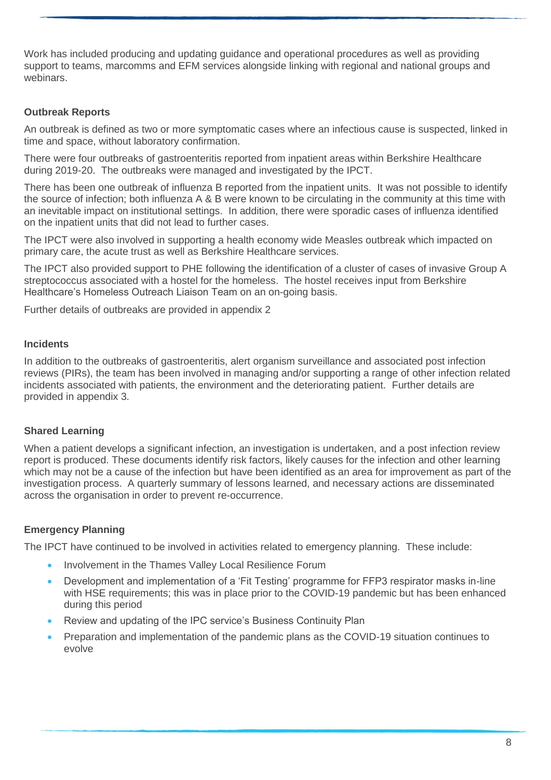Work has included producing and updating guidance and operational procedures as well as providing support to teams, marcomms and EFM services alongside linking with regional and national groups and webinars.

### **Outbreak Reports**

An outbreak is defined as two or more symptomatic cases where an infectious cause is suspected, linked in time and space, without laboratory confirmation.

There were four outbreaks of gastroenteritis reported from inpatient areas within Berkshire Healthcare during 2019-20. The outbreaks were managed and investigated by the IPCT.

There has been one outbreak of influenza B reported from the inpatient units. It was not possible to identify the source of infection; both influenza A & B were known to be circulating in the community at this time with an inevitable impact on institutional settings. In addition, there were sporadic cases of influenza identified on the inpatient units that did not lead to further cases.

The IPCT were also involved in supporting a health economy wide Measles outbreak which impacted on primary care, the acute trust as well as Berkshire Healthcare services.

The IPCT also provided support to PHE following the identification of a cluster of cases of invasive Group A streptococcus associated with a hostel for the homeless. The hostel receives input from Berkshire Healthcare's Homeless Outreach Liaison Team on an on-going basis.

Further details of outbreaks are provided in appendix 2

#### **Incidents**

In addition to the outbreaks of gastroenteritis, alert organism surveillance and associated post infection reviews (PIRs), the team has been involved in managing and/or supporting a range of other infection related incidents associated with patients, the environment and the deteriorating patient. Further details are provided in appendix 3.

#### **Shared Learning**

When a patient develops a significant infection, an investigation is undertaken, and a post infection review report is produced. These documents identify risk factors, likely causes for the infection and other learning which may not be a cause of the infection but have been identified as an area for improvement as part of the investigation process. A quarterly summary of lessons learned, and necessary actions are disseminated across the organisation in order to prevent re-occurrence.

#### **Emergency Planning**

The IPCT have continued to be involved in activities related to emergency planning. These include:

- Involvement in the Thames Valley Local Resilience Forum
- Development and implementation of a 'Fit Testing' programme for FFP3 respirator masks in-line with HSE requirements; this was in place prior to the COVID-19 pandemic but has been enhanced during this period
- Review and updating of the IPC service's Business Continuity Plan
- Preparation and implementation of the pandemic plans as the COVID-19 situation continues to evolve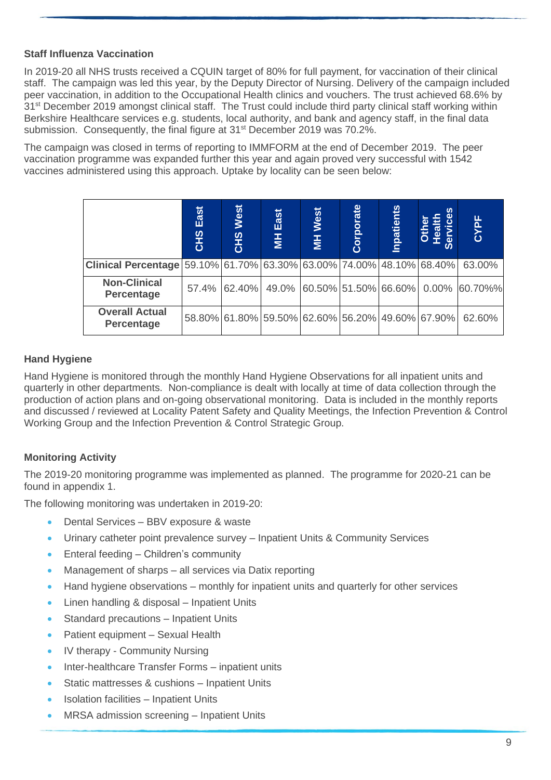### **Staff Influenza Vaccination**

In 2019-20 all NHS trusts received a CQUIN target of 80% for full payment, for vaccination of their clinical staff. The campaign was led this year, by the Deputy Director of Nursing. Delivery of the campaign included peer vaccination, in addition to the Occupational Health clinics and vouchers. The trust achieved 68.6% by 31<sup>st</sup> December 2019 amongst clinical staff. The Trust could include third party clinical staff working within Berkshire Healthcare services e.g. students, local authority, and bank and agency staff, in the final data submission. Consequently, the final figure at 31<sup>st</sup> December 2019 was 70.2%.

The campaign was closed in terms of reporting to IMMFORM at the end of December 2019. The peer vaccination programme was expanded further this year and again proved very successful with 1542 vaccines administered using this approach. Uptake by locality can be seen below:

|                                                                             | East<br><b>CHS</b> | West<br><b>CHS</b>                               | East<br>$\overline{1}$ | MH West | Corporate | <b>Inpatients</b> | n<br>$\omega$<br>163<br>$\overline{a}$<br>ഗ | CYPE                                     |
|-----------------------------------------------------------------------------|--------------------|--------------------------------------------------|------------------------|---------|-----------|-------------------|---------------------------------------------|------------------------------------------|
| <b>Clinical Percentage</b> 59.10% 61.70% 63.30% 63.00% 74.00% 48.10% 68.40% |                    |                                                  |                        |         |           |                   |                                             | 63.00%                                   |
| <b>Non-Clinical</b><br><b>Percentage</b>                                    | 57.4%              | 62.40%                                           |                        |         |           |                   |                                             | 49.0% 60.50% 51.50% 66.60% 0.00% 60.70%% |
| <b>Overall Actual</b><br><b>Percentage</b>                                  |                    | 58.80% 61.80% 59.50% 62.60% 56.20% 49.60% 67.90% |                        |         |           |                   |                                             | 62.60%                                   |

### **Hand Hygiene**

Hand Hygiene is monitored through the monthly Hand Hygiene Observations for all inpatient units and quarterly in other departments. Non-compliance is dealt with locally at time of data collection through the production of action plans and on-going observational monitoring. Data is included in the monthly reports and discussed / reviewed at Locality Patent Safety and Quality Meetings, the Infection Prevention & Control Working Group and the Infection Prevention & Control Strategic Group.

## **Monitoring Activity**

The 2019-20 monitoring programme was implemented as planned. The programme for 2020-21 can be found in appendix 1.

The following monitoring was undertaken in 2019-20:

- Dental Services BBV exposure & waste
- Urinary catheter point prevalence survey Inpatient Units & Community Services
- Enteral feeding Children's community
- Management of sharps all services via Datix reporting
- Hand hygiene observations monthly for inpatient units and quarterly for other services
- Linen handling & disposal Inpatient Units
- Standard precautions Inpatient Units
- Patient equipment Sexual Health
- IV therapy Community Nursing
- Inter-healthcare Transfer Forms inpatient units
- Static mattresses & cushions Inpatient Units
- Isolation facilities Inpatient Units
- MRSA admission screening Inpatient Units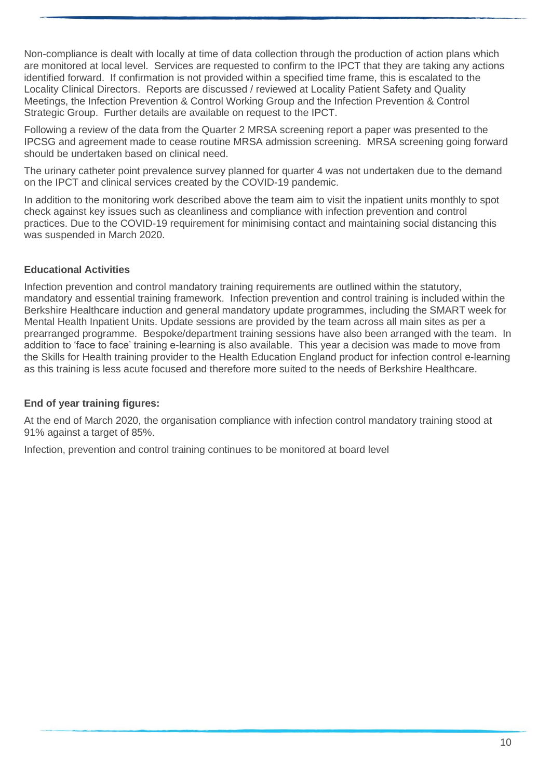Non-compliance is dealt with locally at time of data collection through the production of action plans which are monitored at local level. Services are requested to confirm to the IPCT that they are taking any actions identified forward. If confirmation is not provided within a specified time frame, this is escalated to the Locality Clinical Directors. Reports are discussed / reviewed at Locality Patient Safety and Quality Meetings, the Infection Prevention & Control Working Group and the Infection Prevention & Control Strategic Group. Further details are available on request to the IPCT.

Following a review of the data from the Quarter 2 MRSA screening report a paper was presented to the IPCSG and agreement made to cease routine MRSA admission screening. MRSA screening going forward should be undertaken based on clinical need.

The urinary catheter point prevalence survey planned for quarter 4 was not undertaken due to the demand on the IPCT and clinical services created by the COVID-19 pandemic.

In addition to the monitoring work described above the team aim to visit the inpatient units monthly to spot check against key issues such as cleanliness and compliance with infection prevention and control practices. Due to the COVID-19 requirement for minimising contact and maintaining social distancing this was suspended in March 2020.

### **Educational Activities**

Infection prevention and control mandatory training requirements are outlined within the statutory, mandatory and essential training framework. Infection prevention and control training is included within the Berkshire Healthcare induction and general mandatory update programmes, including the SMART week for Mental Health Inpatient Units. Update sessions are provided by the team across all main sites as per a prearranged programme. Bespoke/department training sessions have also been arranged with the team. In addition to 'face to face' training e-learning is also available. This year a decision was made to move from the Skills for Health training provider to the Health Education England product for infection control e-learning as this training is less acute focused and therefore more suited to the needs of Berkshire Healthcare.

#### **End of year training figures:**

At the end of March 2020, the organisation compliance with infection control mandatory training stood at 91% against a target of 85%.

Infection, prevention and control training continues to be monitored at board level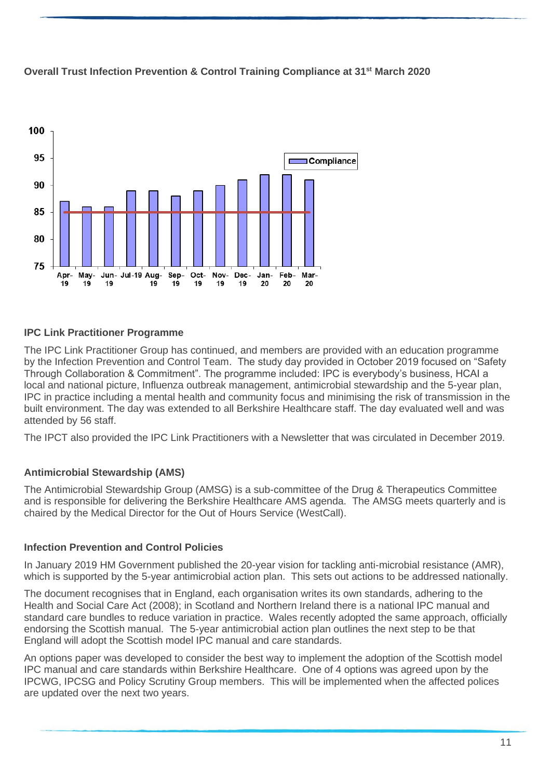

### **Overall Trust Infection Prevention & Control Training Compliance at 31st March 2020**

### **IPC Link Practitioner Programme**

The IPC Link Practitioner Group has continued, and members are provided with an education programme by the Infection Prevention and Control Team. The study day provided in October 2019 focused on "Safety Through Collaboration & Commitment". The programme included: IPC is everybody's business, HCAI a local and national picture, Influenza outbreak management, antimicrobial stewardship and the 5-year plan, IPC in practice including a mental health and community focus and minimising the risk of transmission in the built environment. The day was extended to all Berkshire Healthcare staff. The day evaluated well and was attended by 56 staff.

The IPCT also provided the IPC Link Practitioners with a Newsletter that was circulated in December 2019.

#### **Antimicrobial Stewardship (AMS)**

The Antimicrobial Stewardship Group (AMSG) is a sub-committee of the Drug & Therapeutics Committee and is responsible for delivering the Berkshire Healthcare AMS agenda. The AMSG meets quarterly and is chaired by the Medical Director for the Out of Hours Service (WestCall).

#### **Infection Prevention and Control Policies**

In January 2019 HM Government published the 20-year vision for tackling anti-microbial resistance (AMR), which is supported by the 5-year antimicrobial action plan. This sets out actions to be addressed nationally.

The document recognises that in England, each organisation writes its own standards, adhering to the Health and Social Care Act (2008); in Scotland and Northern Ireland there is a national IPC manual and standard care bundles to reduce variation in practice. Wales recently adopted the same approach, officially endorsing the Scottish manual. The 5-year antimicrobial action plan outlines the next step to be that England will adopt the Scottish model IPC manual and care standards.

An options paper was developed to consider the best way to implement the adoption of the Scottish model IPC manual and care standards within Berkshire Healthcare. One of 4 options was agreed upon by the IPCWG, IPCSG and Policy Scrutiny Group members. This will be implemented when the affected polices are updated over the next two years.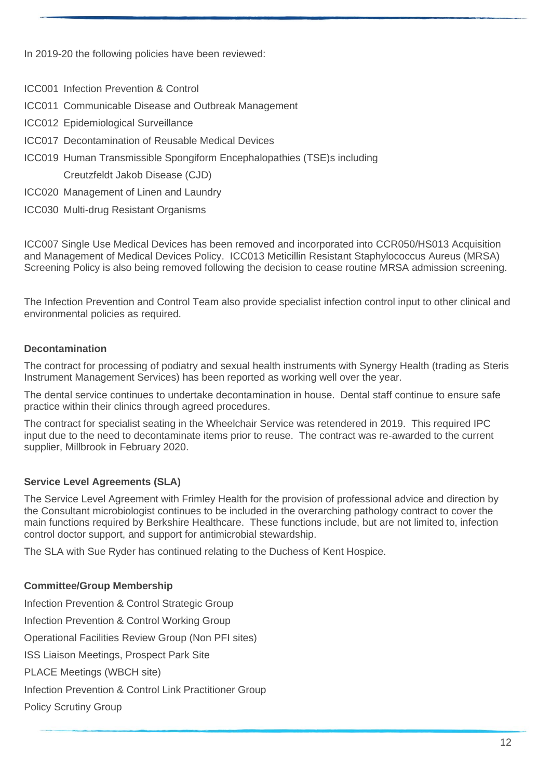In 2019-20 the following policies have been reviewed:

- ICC001 Infection Prevention & Control
- ICC011 Communicable Disease and Outbreak Management
- ICC012 Epidemiological Surveillance
- ICC017 Decontamination of Reusable Medical Devices
- ICC019 Human Transmissible Spongiform Encephalopathies (TSE)s including

Creutzfeldt Jakob Disease (CJD)

- ICC020 Management of Linen and Laundry
- ICC030 Multi-drug Resistant Organisms

ICC007 Single Use Medical Devices has been removed and incorporated into CCR050/HS013 Acquisition and Management of Medical Devices Policy. ICC013 Meticillin Resistant Staphylococcus Aureus (MRSA) Screening Policy is also being removed following the decision to cease routine MRSA admission screening.

The Infection Prevention and Control Team also provide specialist infection control input to other clinical and environmental policies as required.

### **Decontamination**

The contract for processing of podiatry and sexual health instruments with Synergy Health (trading as Steris Instrument Management Services) has been reported as working well over the year.

The dental service continues to undertake decontamination in house. Dental staff continue to ensure safe practice within their clinics through agreed procedures.

The contract for specialist seating in the Wheelchair Service was retendered in 2019. This required IPC input due to the need to decontaminate items prior to reuse. The contract was re-awarded to the current supplier, Millbrook in February 2020.

## **Service Level Agreements (SLA)**

The Service Level Agreement with Frimley Health for the provision of professional advice and direction by the Consultant microbiologist continues to be included in the overarching pathology contract to cover the main functions required by Berkshire Healthcare. These functions include, but are not limited to, infection control doctor support, and support for antimicrobial stewardship.

The SLA with Sue Ryder has continued relating to the Duchess of Kent Hospice.

### **Committee/Group Membership**

Infection Prevention & Control Strategic Group Infection Prevention & Control Working Group Operational Facilities Review Group (Non PFI sites) ISS Liaison Meetings, Prospect Park Site PLACE Meetings (WBCH site) Infection Prevention & Control Link Practitioner Group Policy Scrutiny Group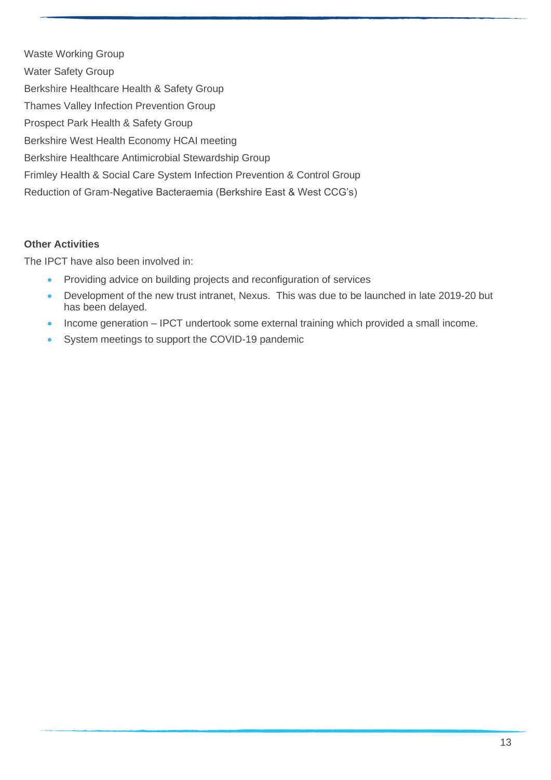Waste Working Group Water Safety Group Berkshire Healthcare Health & Safety Group Thames Valley Infection Prevention Group Prospect Park Health & Safety Group Berkshire West Health Economy HCAI meeting Berkshire Healthcare Antimicrobial Stewardship Group Frimley Health & Social Care System Infection Prevention & Control Group Reduction of Gram-Negative Bacteraemia (Berkshire East & West CCG's)

### **Other Activities**

The IPCT have also been involved in:

- Providing advice on building projects and reconfiguration of services
- Development of the new trust intranet, Nexus. This was due to be launched in late 2019-20 but has been delayed.
- Income generation IPCT undertook some external training which provided a small income.
- System meetings to support the COVID-19 pandemic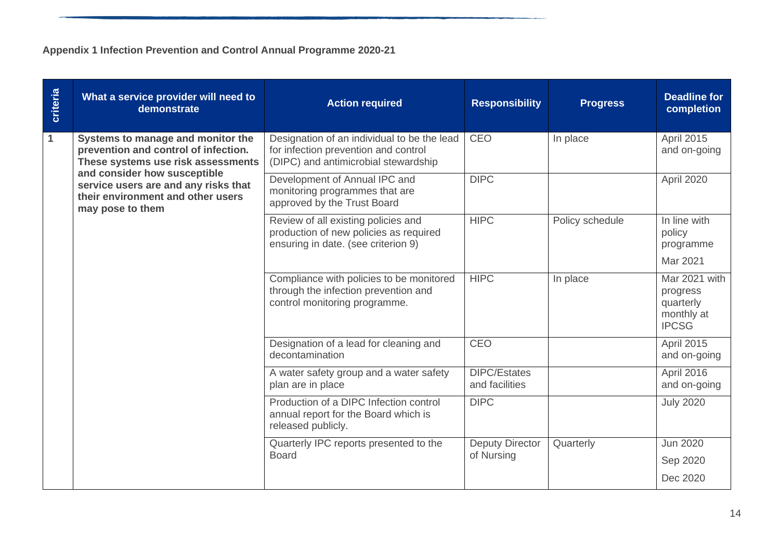# **Appendix 1 Infection Prevention and Control Annual Programme 2020-21**

| criteria | What a service provider will need to<br>demonstrate                                                                           | <b>Action required</b>                                                                                                      | <b>Responsibility</b>                 | <b>Progress</b> | <b>Deadline for</b><br>completion                                    |
|----------|-------------------------------------------------------------------------------------------------------------------------------|-----------------------------------------------------------------------------------------------------------------------------|---------------------------------------|-----------------|----------------------------------------------------------------------|
| 1        | Systems to manage and monitor the<br>prevention and control of infection.<br>These systems use risk assessments               | Designation of an individual to be the lead<br>for infection prevention and control<br>(DIPC) and antimicrobial stewardship | <b>CEO</b>                            | In place        | April 2015<br>and on-going                                           |
|          | and consider how susceptible<br>service users are and any risks that<br>their environment and other users<br>may pose to them | Development of Annual IPC and<br>monitoring programmes that are<br>approved by the Trust Board                              | <b>DIPC</b>                           |                 | April 2020                                                           |
|          |                                                                                                                               | Review of all existing policies and<br>production of new policies as required<br>ensuring in date. (see criterion 9)        | <b>HIPC</b>                           | Policy schedule | $\overline{\ln}$ line with<br>policy<br>programme                    |
|          |                                                                                                                               |                                                                                                                             |                                       |                 | Mar 2021                                                             |
|          |                                                                                                                               | Compliance with policies to be monitored<br>through the infection prevention and<br>control monitoring programme.           | <b>HIPC</b>                           | In place        | Mar 2021 with<br>progress<br>quarterly<br>monthly at<br><b>IPCSG</b> |
|          |                                                                                                                               | Designation of a lead for cleaning and<br>decontamination                                                                   | <b>CEO</b>                            |                 | April 2015<br>and on-going                                           |
|          |                                                                                                                               | A water safety group and a water safety<br>plan are in place                                                                | <b>DIPC/Estates</b><br>and facilities |                 | April 2016<br>and on-going                                           |
|          |                                                                                                                               | Production of a DIPC Infection control<br>annual report for the Board which is<br>released publicly.                        | <b>DIPC</b>                           |                 | <b>July 2020</b>                                                     |
|          |                                                                                                                               | Quarterly IPC reports presented to the                                                                                      | <b>Deputy Director</b>                | Quarterly       | Jun 2020                                                             |
|          |                                                                                                                               | <b>Board</b>                                                                                                                | of Nursing                            |                 | Sep 2020                                                             |
|          |                                                                                                                               |                                                                                                                             |                                       |                 | Dec 2020                                                             |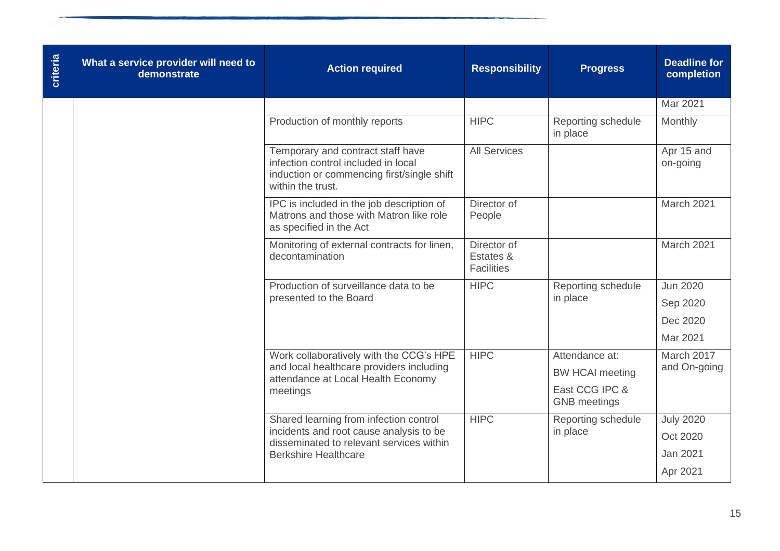| <b>Criteria</b> | What a service provider will need to<br>demonstrate | <b>Action required</b>                                                                                                                      | <b>Responsibility</b>                         | <b>Progress</b>                       | <b>Deadline for</b><br>completion |
|-----------------|-----------------------------------------------------|---------------------------------------------------------------------------------------------------------------------------------------------|-----------------------------------------------|---------------------------------------|-----------------------------------|
|                 |                                                     |                                                                                                                                             |                                               |                                       | Mar 2021                          |
|                 |                                                     | Production of monthly reports                                                                                                               | <b>HIPC</b>                                   | Reporting schedule<br>in place        | Monthly                           |
|                 |                                                     | Temporary and contract staff have<br>infection control included in local<br>induction or commencing first/single shift<br>within the trust. | <b>All Services</b>                           |                                       | Apr 15 and<br>on-going            |
|                 |                                                     | IPC is included in the job description of<br>Matrons and those with Matron like role<br>as specified in the Act                             | Director of<br>People                         |                                       | March 2021                        |
|                 |                                                     | Monitoring of external contracts for linen,<br>decontamination                                                                              | Director of<br>Estates &<br><b>Facilities</b> |                                       | March 2021                        |
|                 |                                                     | Production of surveillance data to be                                                                                                       | <b>HIPC</b>                                   | Reporting schedule                    | <b>Jun 2020</b>                   |
|                 |                                                     | presented to the Board                                                                                                                      |                                               | in place                              | Sep 2020                          |
|                 |                                                     |                                                                                                                                             |                                               |                                       | Dec 2020                          |
|                 |                                                     |                                                                                                                                             |                                               |                                       | Mar 2021                          |
|                 |                                                     | Work collaboratively with the CCG's HPE                                                                                                     | <b>HIPC</b>                                   | Attendance at:                        | March 2017                        |
|                 |                                                     | and local healthcare providers including<br>attendance at Local Health Economy                                                              |                                               | <b>BW HCAI meeting</b>                | and On-going                      |
|                 |                                                     | meetings                                                                                                                                    |                                               | East CCG IPC &<br><b>GNB</b> meetings |                                   |
|                 |                                                     | Shared learning from infection control                                                                                                      | <b>HIPC</b>                                   | Reporting schedule                    | <b>July 2020</b>                  |
|                 |                                                     | incidents and root cause analysis to be<br>disseminated to relevant services within                                                         |                                               | in place                              | Oct 2020                          |
|                 |                                                     | <b>Berkshire Healthcare</b>                                                                                                                 |                                               |                                       | <b>Jan 2021</b>                   |
|                 |                                                     |                                                                                                                                             |                                               |                                       | Apr 2021                          |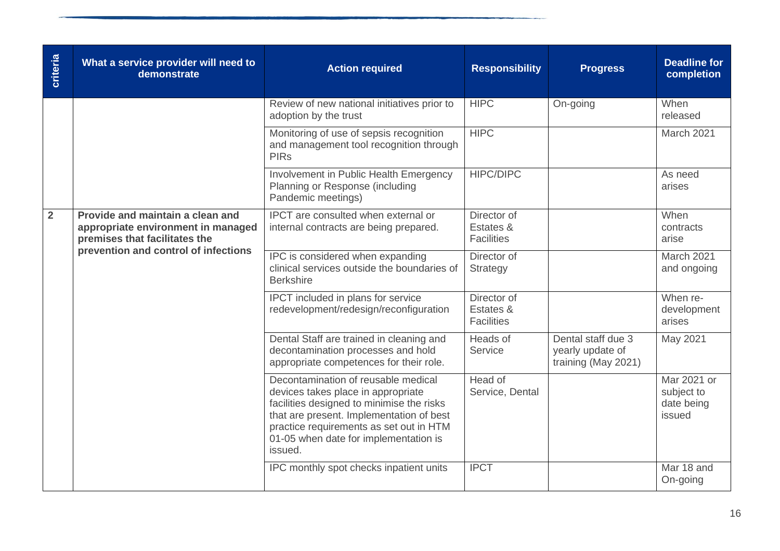| criteria       | What a service provider will need to<br>demonstrate                                                     | <b>Action required</b>                                                                                                                                                                                                                                            | <b>Responsibility</b>                         | <b>Progress</b>                                               | <b>Deadline for</b><br>completion                 |
|----------------|---------------------------------------------------------------------------------------------------------|-------------------------------------------------------------------------------------------------------------------------------------------------------------------------------------------------------------------------------------------------------------------|-----------------------------------------------|---------------------------------------------------------------|---------------------------------------------------|
|                |                                                                                                         | Review of new national initiatives prior to<br>adoption by the trust                                                                                                                                                                                              | <b>HIPC</b>                                   | On-going                                                      | When<br>released                                  |
|                |                                                                                                         | Monitoring of use of sepsis recognition<br>and management tool recognition through<br><b>PIRs</b>                                                                                                                                                                 | HIPC                                          |                                                               | March 2021                                        |
|                |                                                                                                         | Involvement in Public Health Emergency<br>Planning or Response (including<br>Pandemic meetings)                                                                                                                                                                   | <b>HIPC/DIPC</b>                              |                                                               | As need<br>arises                                 |
| $\overline{2}$ | Provide and maintain a clean and<br>appropriate environment in managed<br>premises that facilitates the | <b>IPCT</b> are consulted when external or<br>internal contracts are being prepared.                                                                                                                                                                              | Director of<br>Estates &<br><b>Facilities</b> |                                                               | When<br>contracts<br>arise                        |
|                | prevention and control of infections                                                                    | IPC is considered when expanding<br>clinical services outside the boundaries of<br><b>Berkshire</b>                                                                                                                                                               | Director of<br>Strategy                       |                                                               | March 2021<br>and ongoing                         |
|                |                                                                                                         | IPCT included in plans for service<br>redevelopment/redesign/reconfiguration                                                                                                                                                                                      | Director of<br>Estates &<br><b>Facilities</b> |                                                               | When re-<br>development<br>arises                 |
|                |                                                                                                         | Dental Staff are trained in cleaning and<br>decontamination processes and hold<br>appropriate competences for their role.                                                                                                                                         | Heads of<br>Service                           | Dental staff due 3<br>yearly update of<br>training (May 2021) | May 2021                                          |
|                |                                                                                                         | Decontamination of reusable medical<br>devices takes place in appropriate<br>facilities designed to minimise the risks<br>that are present. Implementation of best<br>practice requirements as set out in HTM<br>01-05 when date for implementation is<br>issued. | Head of<br>Service, Dental                    |                                                               | Mar 2021 or<br>subject to<br>date being<br>issued |
|                |                                                                                                         | IPC monthly spot checks inpatient units                                                                                                                                                                                                                           | <b>IPCT</b>                                   |                                                               | Mar 18 and<br>On-going                            |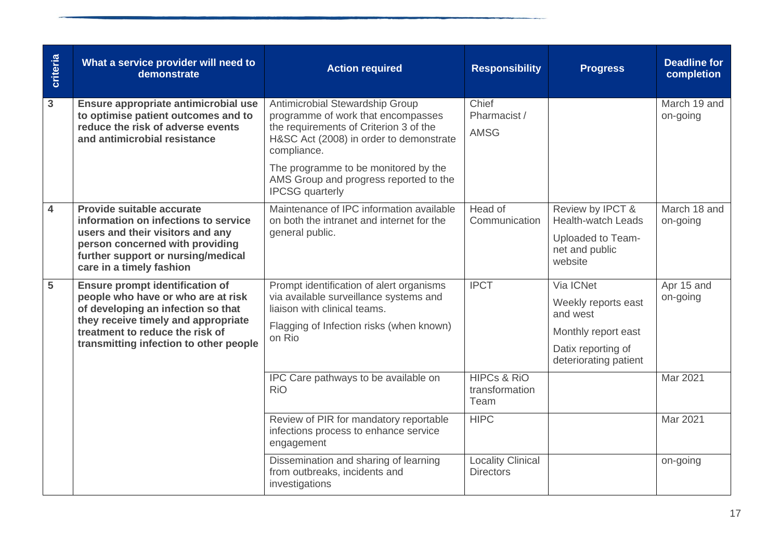| criteria       | What a service provider will need to<br>demonstrate                                                                                                                                                                                    | <b>Action required</b>                                                                                                                                                                                            | <b>Responsibility</b>                            | <b>Progress</b>                                                                                                    | <b>Deadline for</b><br>completion |
|----------------|----------------------------------------------------------------------------------------------------------------------------------------------------------------------------------------------------------------------------------------|-------------------------------------------------------------------------------------------------------------------------------------------------------------------------------------------------------------------|--------------------------------------------------|--------------------------------------------------------------------------------------------------------------------|-----------------------------------|
| $\mathbf{3}$   | Ensure appropriate antimicrobial use<br>to optimise patient outcomes and to<br>reduce the risk of adverse events<br>and antimicrobial resistance                                                                                       | Antimicrobial Stewardship Group<br>programme of work that encompasses<br>the requirements of Criterion 3 of the<br>H&SC Act (2008) in order to demonstrate<br>compliance.<br>The programme to be monitored by the | Chief<br>Pharmacist /<br><b>AMSG</b>             |                                                                                                                    | March 19 and<br>on-going          |
|                |                                                                                                                                                                                                                                        | AMS Group and progress reported to the<br><b>IPCSG</b> quarterly                                                                                                                                                  |                                                  |                                                                                                                    |                                   |
| $\overline{4}$ | Provide suitable accurate<br>information on infections to service<br>users and their visitors and any<br>person concerned with providing<br>further support or nursing/medical<br>care in a timely fashion                             | Maintenance of IPC information available<br>on both the intranet and internet for the<br>general public.                                                                                                          | Head of<br>Communication                         | Review by IPCT &<br><b>Health-watch Leads</b><br>Uploaded to Team-<br>net and public<br>website                    | March 18 and<br>on-going          |
| $\overline{5}$ | <b>Ensure prompt identification of</b><br>people who have or who are at risk<br>of developing an infection so that<br>they receive timely and appropriate<br>treatment to reduce the risk of<br>transmitting infection to other people | Prompt identification of alert organisms<br>via available surveillance systems and<br>liaison with clinical teams.<br>Flagging of Infection risks (when known)<br>on Rio                                          | <b>IPCT</b>                                      | Via ICNet<br>Weekly reports east<br>and west<br>Monthly report east<br>Datix reporting of<br>deteriorating patient | Apr 15 and<br>on-going            |
|                |                                                                                                                                                                                                                                        | IPC Care pathways to be available on<br><b>RiO</b>                                                                                                                                                                | <b>HIPCs &amp; RiO</b><br>transformation<br>Team |                                                                                                                    | Mar 2021                          |
|                |                                                                                                                                                                                                                                        | Review of PIR for mandatory reportable<br>infections process to enhance service<br>engagement                                                                                                                     | <b>HIPC</b>                                      |                                                                                                                    | Mar 2021                          |
|                |                                                                                                                                                                                                                                        | Dissemination and sharing of learning<br>from outbreaks, incidents and<br>investigations                                                                                                                          | <b>Locality Clinical</b><br><b>Directors</b>     |                                                                                                                    | on-going                          |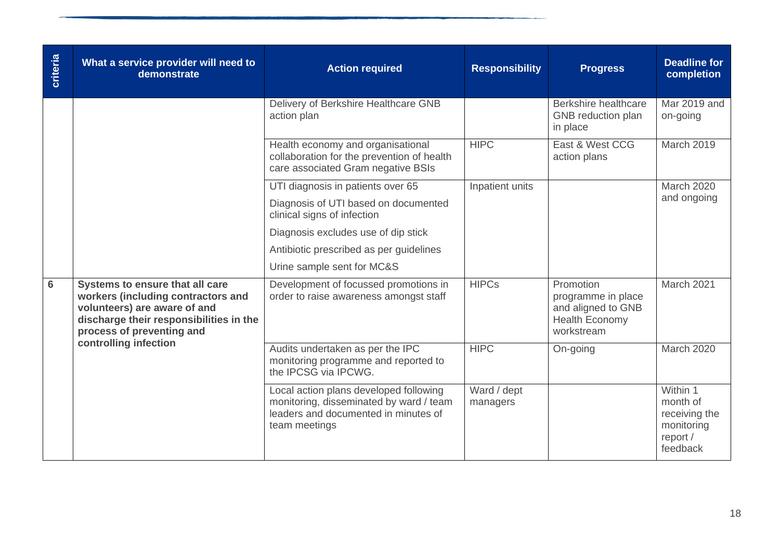| criteria       | What a service provider will need to<br>demonstrate                                                                                                                           | <b>Action required</b>                                                                                                                     | <b>Responsibility</b>   | <b>Progress</b>                                                                              | <b>Deadline for</b><br>completion                                           |
|----------------|-------------------------------------------------------------------------------------------------------------------------------------------------------------------------------|--------------------------------------------------------------------------------------------------------------------------------------------|-------------------------|----------------------------------------------------------------------------------------------|-----------------------------------------------------------------------------|
|                |                                                                                                                                                                               | Delivery of Berkshire Healthcare GNB<br>action plan                                                                                        |                         | Berkshire healthcare<br>GNB reduction plan<br>in place                                       | Mar 2019 and<br>on-going                                                    |
|                |                                                                                                                                                                               | Health economy and organisational<br>collaboration for the prevention of health<br>care associated Gram negative BSIs                      | <b>HIPC</b>             | East & West CCG<br>action plans                                                              | March 2019                                                                  |
|                |                                                                                                                                                                               | UTI diagnosis in patients over 65                                                                                                          | Inpatient units         |                                                                                              | <b>March 2020</b>                                                           |
|                |                                                                                                                                                                               | Diagnosis of UTI based on documented<br>clinical signs of infection                                                                        |                         |                                                                                              | and ongoing                                                                 |
|                |                                                                                                                                                                               | Diagnosis excludes use of dip stick                                                                                                        |                         |                                                                                              |                                                                             |
|                |                                                                                                                                                                               | Antibiotic prescribed as per guidelines                                                                                                    |                         |                                                                                              |                                                                             |
|                |                                                                                                                                                                               | Urine sample sent for MC&S                                                                                                                 |                         |                                                                                              |                                                                             |
| $6\phantom{1}$ | Systems to ensure that all care<br>workers (including contractors and<br>volunteers) are aware of and<br>discharge their responsibilities in the<br>process of preventing and | Development of focussed promotions in<br>order to raise awareness amongst staff                                                            | <b>HIPCs</b>            | Promotion<br>programme in place<br>and aligned to GNB<br><b>Health Economy</b><br>workstream | March 2021                                                                  |
|                | controlling infection                                                                                                                                                         | Audits undertaken as per the IPC<br>monitoring programme and reported to<br>the IPCSG via IPCWG.                                           | <b>HIPC</b>             | On-going                                                                                     | March 2020                                                                  |
|                |                                                                                                                                                                               | Local action plans developed following<br>monitoring, disseminated by ward / team<br>leaders and documented in minutes of<br>team meetings | Ward / dept<br>managers |                                                                                              | Within 1<br>month of<br>receiving the<br>monitoring<br>report /<br>feedback |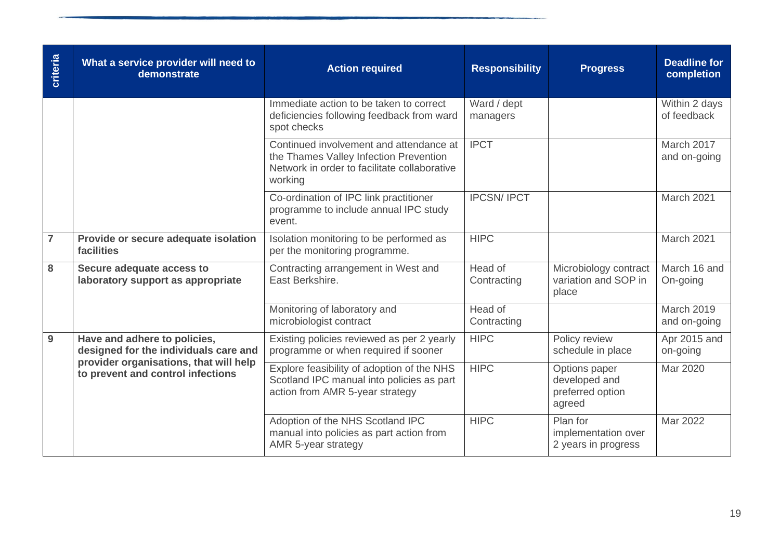| criteria       | What a service provider will need to<br>demonstrate                         | <b>Action required</b>                                                                                                                       | <b>Responsibility</b>   | <b>Progress</b>                                              | <b>Deadline for</b><br>completion |
|----------------|-----------------------------------------------------------------------------|----------------------------------------------------------------------------------------------------------------------------------------------|-------------------------|--------------------------------------------------------------|-----------------------------------|
|                |                                                                             | Immediate action to be taken to correct<br>deficiencies following feedback from ward<br>spot checks                                          | Ward / dept<br>managers |                                                              | Within 2 days<br>of feedback      |
|                |                                                                             | Continued involvement and attendance at<br>the Thames Valley Infection Prevention<br>Network in order to facilitate collaborative<br>working | <b>IPCT</b>             |                                                              | March 2017<br>and on-going        |
|                |                                                                             | Co-ordination of IPC link practitioner<br>programme to include annual IPC study<br>event.                                                    | <b>IPCSN/IPCT</b>       |                                                              | March 2021                        |
| $\overline{7}$ | Provide or secure adequate isolation<br>facilities                          | Isolation monitoring to be performed as<br>per the monitoring programme.                                                                     | <b>HIPC</b>             |                                                              | March 2021                        |
| 8              | Secure adequate access to<br>laboratory support as appropriate              | Contracting arrangement in West and<br>East Berkshire.                                                                                       | Head of<br>Contracting  | Microbiology contract<br>variation and SOP in<br>place       | March 16 and<br>On-going          |
|                |                                                                             | Monitoring of laboratory and<br>microbiologist contract                                                                                      | Head of<br>Contracting  |                                                              | March 2019<br>and on-going        |
| 9              | Have and adhere to policies,<br>designed for the individuals care and       | Existing policies reviewed as per 2 yearly<br>programme or when required if sooner                                                           | <b>HIPC</b>             | Policy review<br>schedule in place                           | Apr 2015 and<br>on-going          |
|                | provider organisations, that will help<br>to prevent and control infections | Explore feasibility of adoption of the NHS<br>Scotland IPC manual into policies as part<br>action from AMR 5-year strategy                   | <b>HIPC</b>             | Options paper<br>developed and<br>preferred option<br>agreed | Mar 2020                          |
|                |                                                                             | Adoption of the NHS Scotland IPC<br>manual into policies as part action from<br>AMR 5-year strategy                                          | <b>HIPC</b>             | Plan for<br>implementation over<br>2 years in progress       | Mar 2022                          |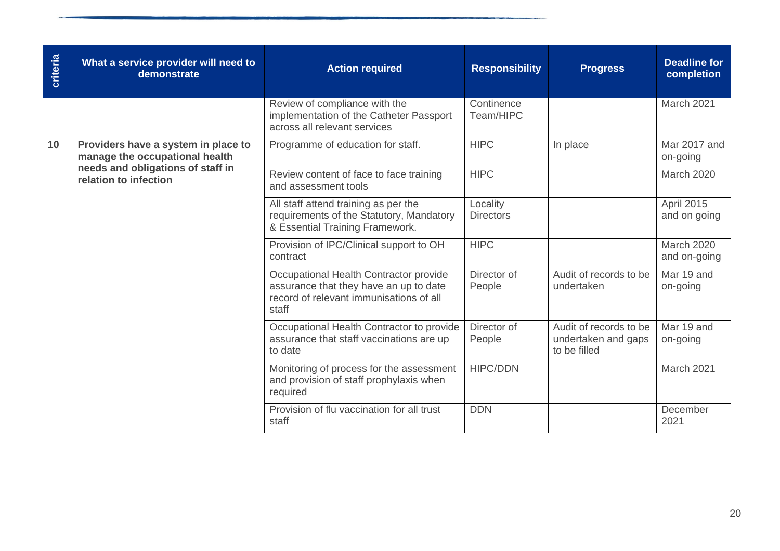| criteria | What a service provider will need to<br>demonstrate                   | <b>Action required</b>                                                                                                               | <b>Responsibility</b>        | <b>Progress</b>                                               | <b>Deadline for</b><br>completion |
|----------|-----------------------------------------------------------------------|--------------------------------------------------------------------------------------------------------------------------------------|------------------------------|---------------------------------------------------------------|-----------------------------------|
|          |                                                                       | Review of compliance with the<br>implementation of the Catheter Passport<br>across all relevant services                             | Continence<br>Team/HIPC      |                                                               | March 2021                        |
| 10       | Providers have a system in place to<br>manage the occupational health | Programme of education for staff.                                                                                                    | <b>HIPC</b>                  | In place                                                      | Mar 2017 and<br>on-going          |
|          | needs and obligations of staff in<br>relation to infection            | Review content of face to face training<br>and assessment tools                                                                      | <b>HIPC</b>                  |                                                               | <b>March 2020</b>                 |
|          |                                                                       | All staff attend training as per the<br>requirements of the Statutory, Mandatory<br>& Essential Training Framework.                  | Locality<br><b>Directors</b> |                                                               | April 2015<br>and on going        |
|          |                                                                       | Provision of IPC/Clinical support to OH<br>contract                                                                                  | <b>HIPC</b>                  |                                                               | <b>March 2020</b><br>and on-going |
|          |                                                                       | Occupational Health Contractor provide<br>assurance that they have an up to date<br>record of relevant immunisations of all<br>staff | Director of<br>People        | Audit of records to be<br>undertaken                          | Mar 19 and<br>on-going            |
|          |                                                                       | Occupational Health Contractor to provide<br>assurance that staff vaccinations are up<br>to date                                     | Director of<br>People        | Audit of records to be<br>undertaken and gaps<br>to be filled | Mar 19 and<br>on-going            |
|          |                                                                       | Monitoring of process for the assessment<br>and provision of staff prophylaxis when<br>required                                      | <b>HIPC/DDN</b>              |                                                               | March 2021                        |
|          |                                                                       | Provision of flu vaccination for all trust<br>staff                                                                                  | <b>DDN</b>                   |                                                               | December<br>2021                  |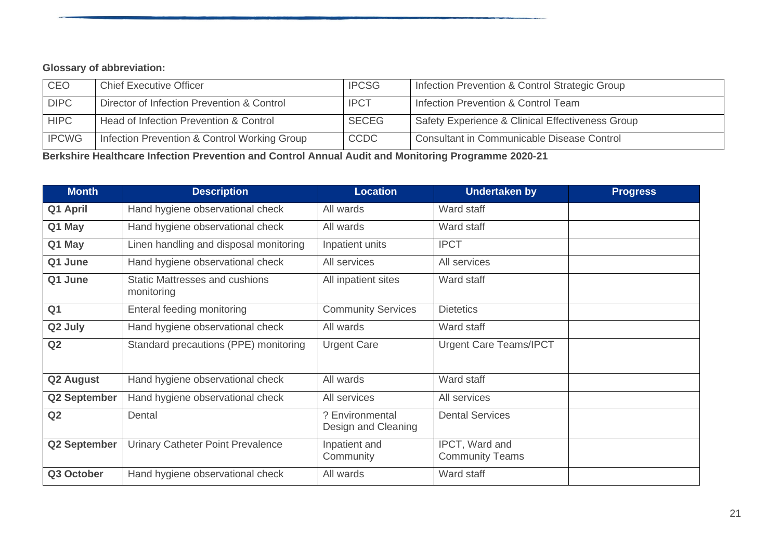# **Glossary of abbreviation:**

| <b>CEO</b>   | <b>Chief Executive Officer</b>               | <b>IPCSG</b> | Infection Prevention & Control Strategic Group    |
|--------------|----------------------------------------------|--------------|---------------------------------------------------|
| <b>DIPC</b>  | Director of Infection Prevention & Control   | <b>IPCT</b>  | Infection Prevention & Control Team               |
| <b>HIPC</b>  | Head of Infection Prevention & Control       | <b>SECEG</b> | Safety Experience & Clinical Effectiveness Group  |
| <b>IPCWG</b> | Infection Prevention & Control Working Group | <b>CCDC</b>  | <b>Consultant in Communicable Disease Control</b> |

**Berkshire Healthcare Infection Prevention and Control Annual Audit and Monitoring Programme 2020-21**

| <b>Month</b>        | <b>Description</b>                                  | <b>Location</b>                        | <b>Undertaken by</b>                     | <b>Progress</b> |
|---------------------|-----------------------------------------------------|----------------------------------------|------------------------------------------|-----------------|
| Q1 April            | Hand hygiene observational check                    | All wards                              | Ward staff                               |                 |
| Q1 May              | Hand hygiene observational check                    | All wards                              | Ward staff                               |                 |
| Q1 May              | Linen handling and disposal monitoring              | Inpatient units                        | <b>IPCT</b>                              |                 |
| Q1 June             | Hand hygiene observational check                    | All services                           | All services                             |                 |
| Q1 June             | <b>Static Mattresses and cushions</b><br>monitoring | All inpatient sites                    | Ward staff                               |                 |
| Q <sub>1</sub>      | Enteral feeding monitoring                          | <b>Community Services</b>              | <b>Dietetics</b>                         |                 |
| Q2 July             | Hand hygiene observational check                    | All wards                              | Ward staff                               |                 |
| Q2                  | Standard precautions (PPE) monitoring               | <b>Urgent Care</b>                     | <b>Urgent Care Teams/IPCT</b>            |                 |
| <b>Q2 August</b>    | Hand hygiene observational check                    | All wards                              | Ward staff                               |                 |
| <b>Q2 September</b> | Hand hygiene observational check                    | All services                           | All services                             |                 |
| Q2                  | Dental                                              | ? Environmental<br>Design and Cleaning | <b>Dental Services</b>                   |                 |
| <b>Q2 September</b> | <b>Urinary Catheter Point Prevalence</b>            | Inpatient and<br>Community             | IPCT, Ward and<br><b>Community Teams</b> |                 |
| Q3 October          | Hand hygiene observational check                    | All wards                              | Ward staff                               |                 |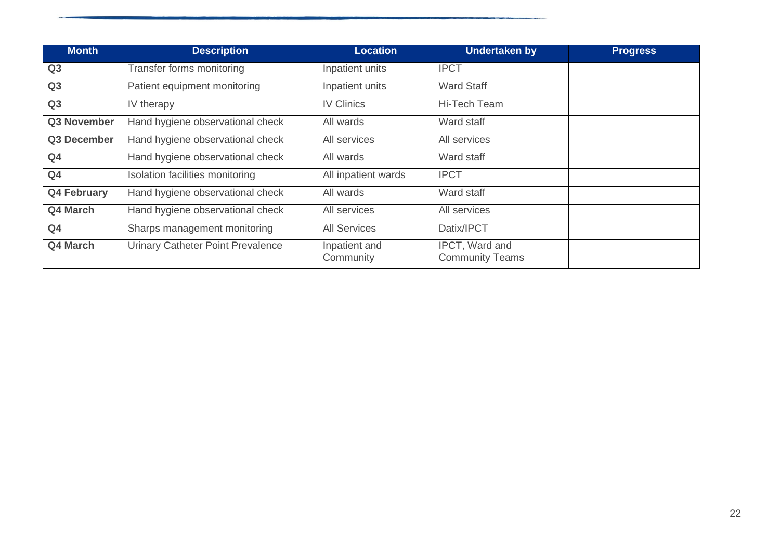| <b>Month</b>       | <b>Description</b>                       | <b>Location</b>            | <b>Undertaken by</b>                     | <b>Progress</b> |
|--------------------|------------------------------------------|----------------------------|------------------------------------------|-----------------|
| Q3                 | Transfer forms monitoring                | Inpatient units            | <b>IPCT</b>                              |                 |
| Q3                 | Patient equipment monitoring             | Inpatient units            | <b>Ward Staff</b>                        |                 |
| Q <sub>3</sub>     | IV therapy                               | <b>IV Clinics</b>          | Hi-Tech Team                             |                 |
| Q3 November        | Hand hygiene observational check         | All wards                  | Ward staff                               |                 |
| Q3 December        | Hand hygiene observational check         | All services               | All services                             |                 |
| Q <sub>4</sub>     | Hand hygiene observational check         | All wards                  | Ward staff                               |                 |
| Q <sub>4</sub>     | Isolation facilities monitoring          | All inpatient wards        | <b>IPCT</b>                              |                 |
| <b>Q4 February</b> | Hand hygiene observational check         | All wards                  | Ward staff                               |                 |
| Q4 March           | Hand hygiene observational check         | All services               | All services                             |                 |
| Q <sub>4</sub>     | Sharps management monitoring             | <b>All Services</b>        | Datix/IPCT                               |                 |
| Q4 March           | <b>Urinary Catheter Point Prevalence</b> | Inpatient and<br>Community | IPCT, Ward and<br><b>Community Teams</b> |                 |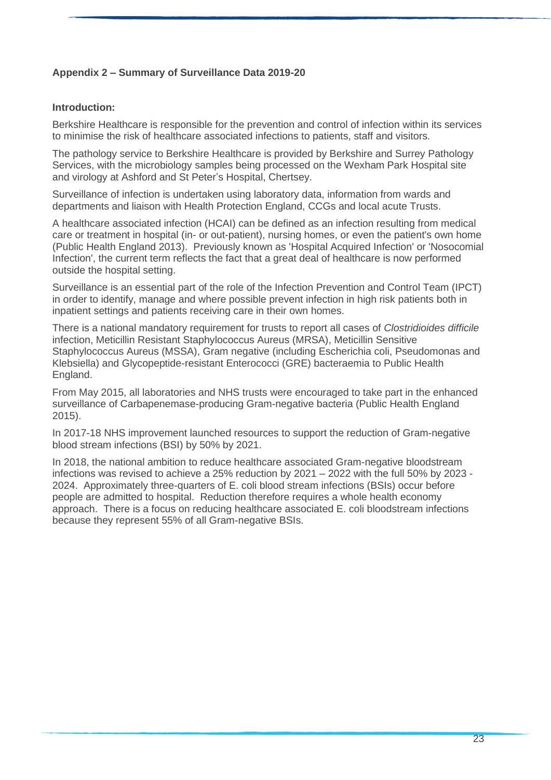### **Appendix 2 – Summary of Surveillance Data 2019-20**

#### **Introduction:**

Berkshire Healthcare is responsible for the prevention and control of infection within its services to minimise the risk of healthcare associated infections to patients, staff and visitors.

The pathology service to Berkshire Healthcare is provided by Berkshire and Surrey Pathology Services, with the microbiology samples being processed on the Wexham Park Hospital site and virology at Ashford and St Peter's Hospital, Chertsey.

Surveillance of infection is undertaken using laboratory data, information from wards and departments and liaison with Health Protection England, CCGs and local acute Trusts.

A healthcare associated infection (HCAI) can be defined as an infection resulting from medical care or treatment in hospital (in- or out-patient), nursing homes, or even the patient's own home (Public Health England 2013). Previously known as 'Hospital Acquired Infection' or 'Nosocomial Infection', the current term reflects the fact that a great deal of healthcare is now performed outside the hospital setting.

Surveillance is an essential part of the role of the Infection Prevention and Control Team (IPCT) in order to identify, manage and where possible prevent infection in high risk patients both in inpatient settings and patients receiving care in their own homes.

There is a national mandatory requirement for trusts to report all cases of *Clostridioides difficile*  infection, Meticillin Resistant Staphylococcus Aureus (MRSA), Meticillin Sensitive Staphylococcus Aureus (MSSA), Gram negative (including Escherichia coli, Pseudomonas and Klebsiella) and Glycopeptide-resistant Enterococci (GRE) bacteraemia to Public Health England.

From May 2015, all laboratories and NHS trusts were encouraged to take part in the enhanced surveillance of Carbapenemase-producing Gram-negative bacteria (Public Health England 2015).

In 2017-18 NHS improvement launched resources to support the reduction of Gram-negative blood stream infections (BSI) by 50% by 2021.

In 2018, the national ambition to reduce healthcare associated Gram-negative bloodstream infections was revised to achieve a 25% reduction by 2021 – 2022 with the full 50% by 2023 - 2024. Approximately three-quarters of E. coli blood stream infections (BSIs) occur before people are admitted to hospital. Reduction therefore requires a whole health economy approach. There is a focus on reducing healthcare associated E. coli bloodstream infections because they represent 55% of all Gram-negative BSIs.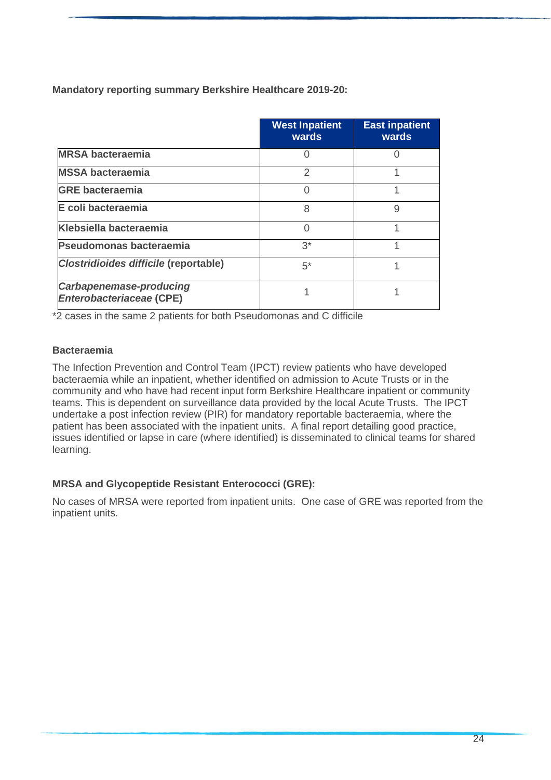**Mandatory reporting summary Berkshire Healthcare 2019-20:**

|                                                                   | <b>West Inpatient</b><br>wards | <b>East inpatient</b><br>wards |
|-------------------------------------------------------------------|--------------------------------|--------------------------------|
| <b>MRSA bacteraemia</b>                                           |                                |                                |
| <b>MSSA bacteraemia</b>                                           | 2                              |                                |
| <b>GRE bacteraemia</b>                                            |                                |                                |
| E coli bacteraemia                                                | 8                              | 9                              |
| <b>Klebsiella bacteraemia</b>                                     |                                |                                |
| Pseudomonas bacteraemia                                           | $3^*$                          |                                |
| Clostridioides difficile (reportable)                             | $5^*$                          |                                |
| <b>Carbapenemase-producing</b><br><b>Enterobacteriaceae (CPE)</b> |                                |                                |

\*2 cases in the same 2 patients for both Pseudomonas and C difficile

### **Bacteraemia**

The Infection Prevention and Control Team (IPCT) review patients who have developed bacteraemia while an inpatient, whether identified on admission to Acute Trusts or in the community and who have had recent input form Berkshire Healthcare inpatient or community teams. This is dependent on surveillance data provided by the local Acute Trusts. The IPCT undertake a post infection review (PIR) for mandatory reportable bacteraemia, where the patient has been associated with the inpatient units. A final report detailing good practice, issues identified or lapse in care (where identified) is disseminated to clinical teams for shared learning.

### **MRSA and Glycopeptide Resistant Enterococci (GRE):**

No cases of MRSA were reported from inpatient units. One case of GRE was reported from the inpatient units.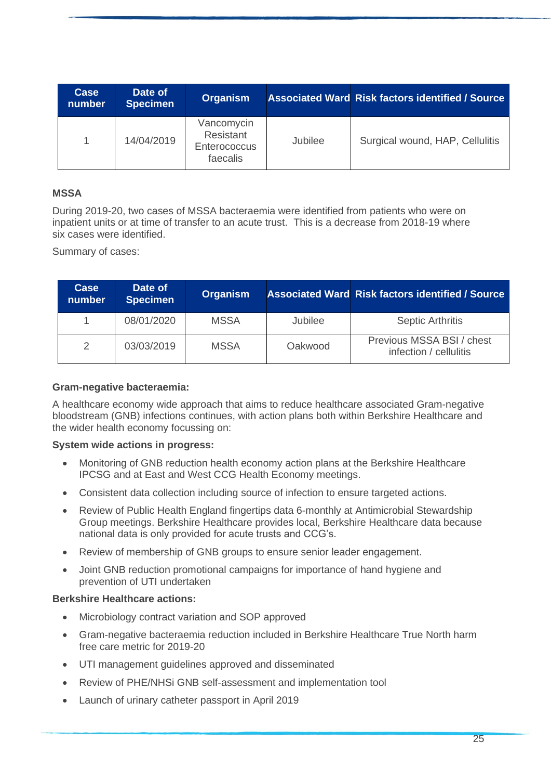| Case<br>number | Date of<br><b>Specimen</b> | <b>Organism</b>                                            |         | <b>Associated Ward Risk factors identified / Source</b> |
|----------------|----------------------------|------------------------------------------------------------|---------|---------------------------------------------------------|
|                | 14/04/2019                 | Vancomycin<br>Resistant<br><b>Enterococcus</b><br>faecalis | Jubilee | Surgical wound, HAP, Cellulitis                         |

### **MSSA**

During 2019-20, two cases of MSSA bacteraemia were identified from patients who were on inpatient units or at time of transfer to an acute trust. This is a decrease from 2018-19 where six cases were identified.

Summary of cases:

| Case<br>number | Date of<br><b>Specimen</b> | <b>Organism</b> |                | <b>Associated Ward Risk factors identified / Source</b> |
|----------------|----------------------------|-----------------|----------------|---------------------------------------------------------|
|                | 08/01/2020                 | <b>MSSA</b>     | <b>Jubilee</b> | <b>Septic Arthritis</b>                                 |
| $\mathcal{P}$  | 03/03/2019                 | <b>MSSA</b>     | Oakwood        | Previous MSSA BSI / chest<br>infection / cellulitis     |

#### **Gram-negative bacteraemia:**

A healthcare economy wide approach that aims to reduce healthcare associated Gram-negative bloodstream (GNB) infections continues, with action plans both within Berkshire Healthcare and the wider health economy focussing on:

#### **System wide actions in progress:**

- Monitoring of GNB reduction health economy action plans at the Berkshire Healthcare IPCSG and at East and West CCG Health Economy meetings.
- Consistent data collection including source of infection to ensure targeted actions.
- Review of Public Health England fingertips data 6-monthly at Antimicrobial Stewardship Group meetings. Berkshire Healthcare provides local, Berkshire Healthcare data because national data is only provided for acute trusts and CCG's.
- Review of membership of GNB groups to ensure senior leader engagement.
- Joint GNB reduction promotional campaigns for importance of hand hygiene and prevention of UTI undertaken

#### **Berkshire Healthcare actions:**

- Microbiology contract variation and SOP approved
- Gram-negative bacteraemia reduction included in Berkshire Healthcare True North harm free care metric for 2019-20
- UTI management guidelines approved and disseminated
- Review of PHE/NHSi GNB self-assessment and implementation tool
- Launch of urinary catheter passport in April 2019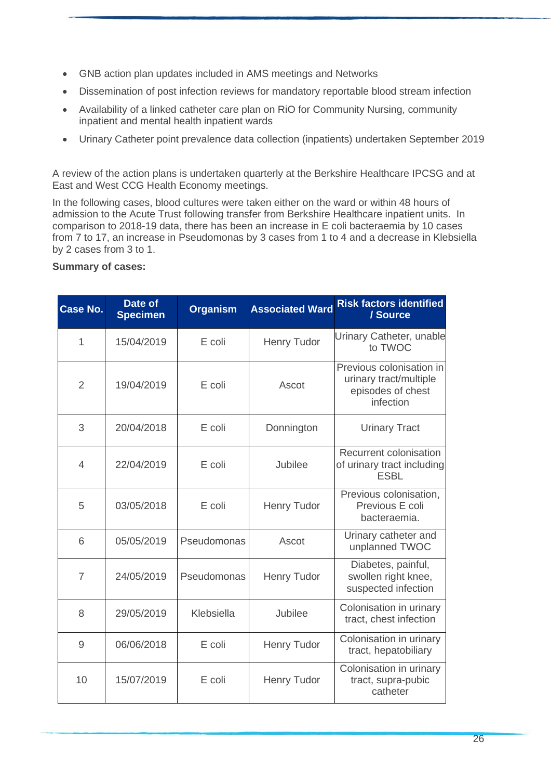- GNB action plan updates included in AMS meetings and Networks
- Dissemination of post infection reviews for mandatory reportable blood stream infection
- Availability of a linked catheter care plan on RiO for Community Nursing, community inpatient and mental health inpatient wards
- Urinary Catheter point prevalence data collection (inpatients) undertaken September 2019

A review of the action plans is undertaken quarterly at the Berkshire Healthcare IPCSG and at East and West CCG Health Economy meetings.

In the following cases, blood cultures were taken either on the ward or within 48 hours of admission to the Acute Trust following transfer from Berkshire Healthcare inpatient units. In comparison to 2018-19 data, there has been an increase in E coli bacteraemia by 10 cases from 7 to 17, an increase in Pseudomonas by 3 cases from 1 to 4 and a decrease in Klebsiella by 2 cases from 3 to 1.

### **Summary of cases:**

| <b>Case No.</b> | Date of<br><b>Specimen</b> | <b>Organism</b> | <b>Associated Ward</b> | <b>Risk factors identified</b><br>/ Source                                           |
|-----------------|----------------------------|-----------------|------------------------|--------------------------------------------------------------------------------------|
| 1               | 15/04/2019                 | E coli          | <b>Henry Tudor</b>     | Urinary Catheter, unable<br>to TWOC                                                  |
| $\overline{2}$  | 19/04/2019                 | E coli          | Ascot                  | Previous colonisation in<br>urinary tract/multiple<br>episodes of chest<br>infection |
| 3               | 20/04/2018                 | E coli          | Donnington             | <b>Urinary Tract</b>                                                                 |
| $\overline{4}$  | 22/04/2019                 | E coli          | Jubilee                | Recurrent colonisation<br>of urinary tract including<br><b>ESBL</b>                  |
| 5               | 03/05/2018                 | E coli          | <b>Henry Tudor</b>     | Previous colonisation,<br>Previous E coli<br>bacteraemia.                            |
| 6               | 05/05/2019                 | Pseudomonas     | Ascot                  | Urinary catheter and<br>unplanned TWOC                                               |
| $\overline{7}$  | 24/05/2019                 | Pseudomonas     | <b>Henry Tudor</b>     | Diabetes, painful,<br>swollen right knee,<br>suspected infection                     |
| 8               | 29/05/2019                 | Klebsiella      | Jubilee                | Colonisation in urinary<br>tract, chest infection                                    |
| 9               | 06/06/2018                 | E coli          | <b>Henry Tudor</b>     | Colonisation in urinary<br>tract, hepatobiliary                                      |
| 10              | 15/07/2019                 | E coli          | <b>Henry Tudor</b>     | Colonisation in urinary<br>tract, supra-pubic<br>catheter                            |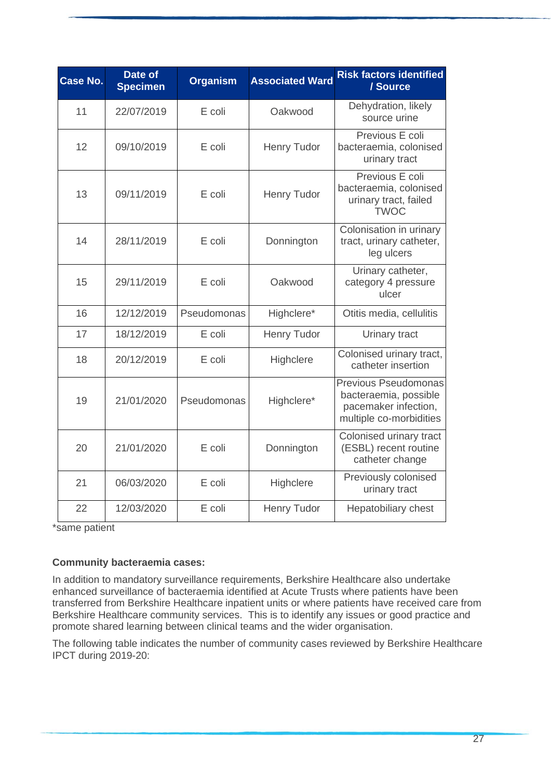| <b>Case No.</b> | Date of<br><b>Specimen</b> | <b>Organism</b> | <b>Associated Ward</b> | <b>Risk factors identified</b><br>/ Source                                                              |
|-----------------|----------------------------|-----------------|------------------------|---------------------------------------------------------------------------------------------------------|
| 11              | 22/07/2019                 | E coli          | Oakwood                | Dehydration, likely<br>source urine                                                                     |
| 12              | 09/10/2019                 | E coli          | <b>Henry Tudor</b>     | Previous E coli<br>bacteraemia, colonised<br>urinary tract                                              |
| 13              | 09/11/2019                 | E coli          | <b>Henry Tudor</b>     | Previous E coli<br>bacteraemia, colonised<br>urinary tract, failed<br><b>TWOC</b>                       |
| 14              | 28/11/2019                 | E coli          | Donnington             | Colonisation in urinary<br>tract, urinary catheter,<br>leg ulcers                                       |
| 15              | 29/11/2019                 | E coli          | Oakwood                | Urinary catheter,<br>category 4 pressure<br>ulcer                                                       |
| 16              | 12/12/2019                 | Pseudomonas     | Highclere*             | Otitis media, cellulitis                                                                                |
| 17              | 18/12/2019                 | E coli          | <b>Henry Tudor</b>     | Urinary tract                                                                                           |
| 18              | 20/12/2019                 | E coli          | Highclere              | Colonised urinary tract,<br>catheter insertion                                                          |
| 19              | 21/01/2020                 | Pseudomonas     | Highclere*             | <b>Previous Pseudomonas</b><br>bacteraemia, possible<br>pacemaker infection,<br>multiple co-morbidities |
| 20              | 21/01/2020                 | E coli          | Donnington             | Colonised urinary tract<br>(ESBL) recent routine<br>catheter change                                     |
| 21              | 06/03/2020                 | E coli          | Highclere              | Previously colonised<br>urinary tract                                                                   |
| 22              | 12/03/2020                 | E coli          | <b>Henry Tudor</b>     | <b>Hepatobiliary chest</b>                                                                              |

\*same patient

### **Community bacteraemia cases:**

In addition to mandatory surveillance requirements, Berkshire Healthcare also undertake enhanced surveillance of bacteraemia identified at Acute Trusts where patients have been transferred from Berkshire Healthcare inpatient units or where patients have received care from Berkshire Healthcare community services. This is to identify any issues or good practice and promote shared learning between clinical teams and the wider organisation.

The following table indicates the number of community cases reviewed by Berkshire Healthcare IPCT during 2019-20: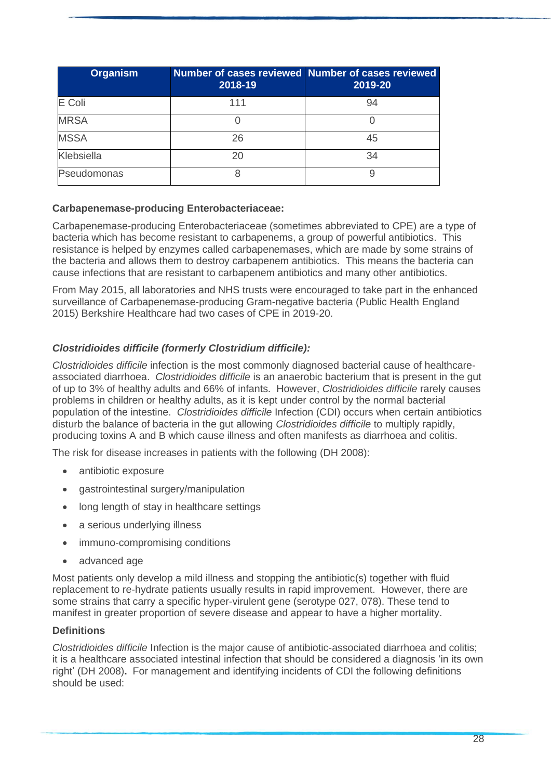| <b>Organism</b> | 2018-19 | <b>Number of cases reviewed Number of cases reviewed</b><br>2019-20 |
|-----------------|---------|---------------------------------------------------------------------|
| E Coli          | 111     | 94                                                                  |
| <b>MRSA</b>     |         |                                                                     |
| <b>MSSA</b>     | 26      | 45                                                                  |
| Klebsiella      |         | 34                                                                  |
| Pseudomonas     |         |                                                                     |

#### **Carbapenemase-producing Enterobacteriaceae:**

Carbapenemase-producing Enterobacteriaceae (sometimes abbreviated to CPE) are a type of bacteria which has become resistant to carbapenems, a group of powerful antibiotics. This resistance is helped by enzymes called carbapenemases, which are made by some strains of the bacteria and allows them to destroy carbapenem antibiotics. This means the bacteria can cause infections that are resistant to carbapenem antibiotics and many other antibiotics.

From May 2015, all laboratories and NHS trusts were encouraged to take part in the enhanced surveillance of Carbapenemase-producing Gram-negative bacteria (Public Health England 2015) Berkshire Healthcare had two cases of CPE in 2019-20.

### *Clostridioides difficile (formerly Clostridium difficile):*

*Clostridioides difficile* infection is the most commonly diagnosed bacterial cause of healthcareassociated diarrhoea. *Clostridioides difficile* is an anaerobic bacterium that is present in the gut of up to 3% of healthy adults and 66% of infants. However, *Clostridioides difficile* rarely causes problems in children or healthy adults, as it is kept under control by the normal bacterial population of the intestine. *Clostridioides difficile* Infection (CDI) occurs when certain antibiotics disturb the balance of bacteria in the gut allowing *Clostridioides difficile* to multiply rapidly, producing toxins A and B which cause illness and often manifests as diarrhoea and colitis.

The risk for disease increases in patients with the following (DH 2008):

- antibiotic exposure
- gastrointestinal surgery/manipulation
- long length of stay in healthcare settings
- a serious underlying illness
- immuno-compromising conditions
- advanced age

Most patients only develop a mild illness and stopping the antibiotic(s) together with fluid replacement to re-hydrate patients usually results in rapid improvement. However, there are some strains that carry a specific hyper-virulent gene (serotype 027, 078). These tend to manifest in greater proportion of severe disease and appear to have a higher mortality.

#### **Definitions**

*Clostridioides difficile* Infection is the major cause of antibiotic-associated diarrhoea and colitis; it is a healthcare associated intestinal infection that should be considered a diagnosis 'in its own right' (DH 2008)**.** For management and identifying incidents of CDI the following definitions should be used: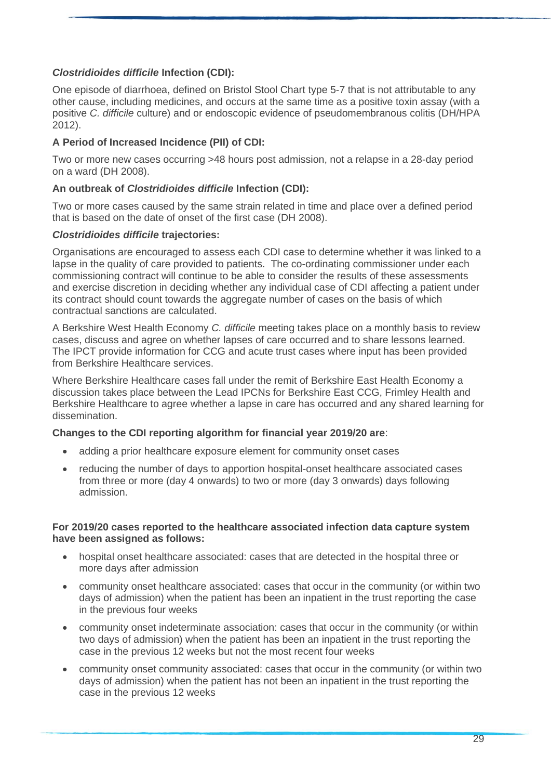### *Clostridioides difficile* **Infection (CDI):**

One episode of diarrhoea, defined on Bristol Stool Chart type 5-7 that is not attributable to any other cause, including medicines, and occurs at the same time as a positive toxin assay (with a positive *C. difficile* culture) and or endoscopic evidence of pseudomembranous colitis (DH/HPA 2012).

### **A Period of Increased Incidence (PII) of CDI:**

Two or more new cases occurring >48 hours post admission, not a relapse in a 28-day period on a ward (DH 2008).

#### **An outbreak of** *Clostridioides difficile* **Infection (CDI):**

Two or more cases caused by the same strain related in time and place over a defined period that is based on the date of onset of the first case (DH 2008).

#### *Clostridioides difficile* **trajectories:**

Organisations are encouraged to assess each CDI case to determine whether it was linked to a lapse in the quality of care provided to patients. The co-ordinating commissioner under each commissioning contract will continue to be able to consider the results of these assessments and exercise discretion in deciding whether any individual case of CDI affecting a patient under its contract should count towards the aggregate number of cases on the basis of which contractual sanctions are calculated.

A Berkshire West Health Economy *C. difficile* meeting takes place on a monthly basis to review cases, discuss and agree on whether lapses of care occurred and to share lessons learned. The IPCT provide information for CCG and acute trust cases where input has been provided from Berkshire Healthcare services.

Where Berkshire Healthcare cases fall under the remit of Berkshire East Health Economy a discussion takes place between the Lead IPCNs for Berkshire East CCG, Frimley Health and Berkshire Healthcare to agree whether a lapse in care has occurred and any shared learning for dissemination.

#### **Changes to the CDI reporting algorithm for financial year 2019/20 are**:

- adding a prior healthcare exposure element for community onset cases
- reducing the number of days to apportion hospital-onset healthcare associated cases from three or more (day 4 onwards) to two or more (day 3 onwards) days following admission.

#### **For 2019/20 cases reported to the healthcare associated infection data capture system have been assigned as follows:**

- hospital onset healthcare associated: cases that are detected in the hospital three or more days after admission
- community onset healthcare associated: cases that occur in the community (or within two days of admission) when the patient has been an inpatient in the trust reporting the case in the previous four weeks
- community onset indeterminate association: cases that occur in the community (or within two days of admission) when the patient has been an inpatient in the trust reporting the case in the previous 12 weeks but not the most recent four weeks
- community onset community associated: cases that occur in the community (or within two days of admission) when the patient has not been an inpatient in the trust reporting the case in the previous 12 weeks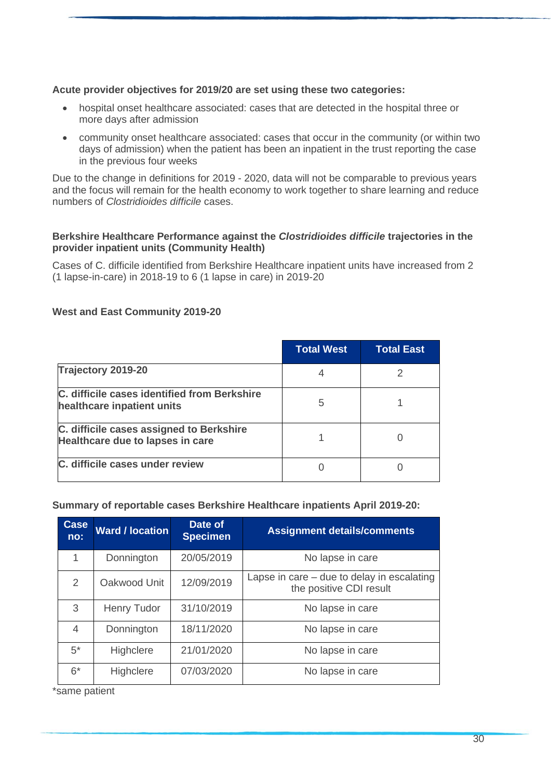### **Acute provider objectives for 2019/20 are set using these two categories:**

- hospital onset healthcare associated: cases that are detected in the hospital three or more days after admission
- community onset healthcare associated: cases that occur in the community (or within two days of admission) when the patient has been an inpatient in the trust reporting the case in the previous four weeks

Due to the change in definitions for 2019 - 2020, data will not be comparable to previous years and the focus will remain for the health economy to work together to share learning and reduce numbers of *Clostridioides difficile* cases.

#### **Berkshire Healthcare Performance against the** *Clostridioides difficile* **trajectories in the provider inpatient units (Community Health)**

Cases of C. difficile identified from Berkshire Healthcare inpatient units have increased from 2 (1 lapse-in-care) in 2018-19 to 6 (1 lapse in care) in 2019-20

|                                                                              | <b>Total West</b> | <b>Total East</b> |
|------------------------------------------------------------------------------|-------------------|-------------------|
| Trajectory 2019-20                                                           |                   |                   |
| C. difficile cases identified from Berkshire<br>healthcare inpatient units   | 5                 |                   |
| C. difficile cases assigned to Berkshire<br>Healthcare due to lapses in care |                   |                   |
| C. difficile cases under review                                              |                   |                   |

### **West and East Community 2019-20**

#### **Summary of reportable cases Berkshire Healthcare inpatients April 2019-20:**

| <b>Case</b><br>no: | <b>Ward / location</b> | Date of<br><b>Specimen</b> | <b>Assignment details/comments</b>                                      |
|--------------------|------------------------|----------------------------|-------------------------------------------------------------------------|
| 1                  | Donnington             | 20/05/2019                 | No lapse in care                                                        |
| 2                  | Oakwood Unit           | 12/09/2019                 | Lapse in care $-$ due to delay in escalating<br>the positive CDI result |
| 3                  | <b>Henry Tudor</b>     | 31/10/2019                 | No lapse in care                                                        |
| 4                  | Donnington             | 18/11/2020                 | No lapse in care                                                        |
| $5^*$              | Highclere              | 21/01/2020                 | No lapse in care                                                        |
| $6*$               | Highclere              | 07/03/2020                 | No lapse in care                                                        |

\*same patient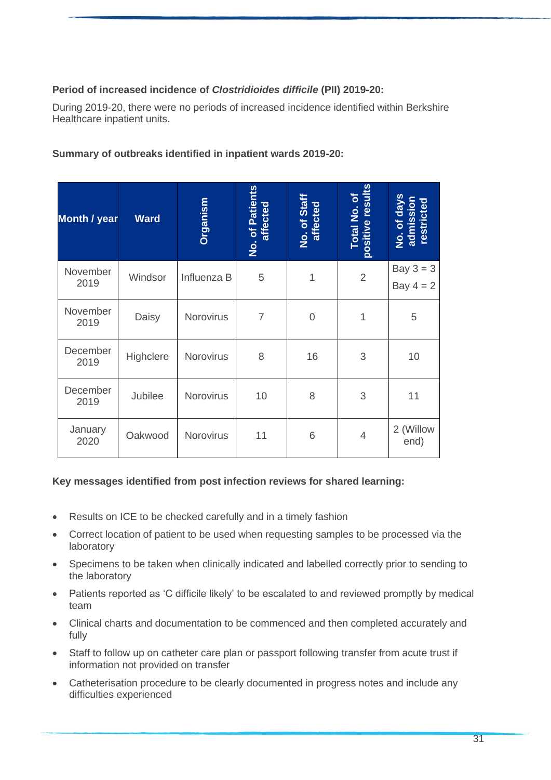### **Period of increased incidence of** *Clostridioides difficile* **(PII) 2019-20:**

During 2019-20, there were no periods of increased incidence identified within Berkshire Healthcare inpatient units.

### **Summary of outbreaks identified in inpatient wards 2019-20:**

| <b>Month / year</b> | <b>Ward</b> | Organism    | No. of Patients<br>affected | No. of Staff<br>affected | positive results<br><b>Total No. of</b> | No. of days<br>admission<br>restricted |
|---------------------|-------------|-------------|-----------------------------|--------------------------|-----------------------------------------|----------------------------------------|
| November<br>2019    | Windsor     | Influenza B | 5                           | 1                        | $\overline{2}$                          | Bay $3 = 3$<br>Bay $4 = 2$             |
| November<br>2019    | Daisy       | Norovirus   | $\overline{7}$              | 0                        | 1                                       | 5                                      |
| December<br>2019    | Highclere   | Norovirus   | 8                           | 16                       | 3                                       | 10                                     |
| December<br>2019    | Jubilee     | Norovirus   | 10                          | 8                        | 3                                       | 11                                     |
| January<br>2020     | Oakwood     | Norovirus   | 11                          | 6                        | 4                                       | 2 (Willow<br>end)                      |

#### **Key messages identified from post infection reviews for shared learning:**

- Results on ICE to be checked carefully and in a timely fashion
- Correct location of patient to be used when requesting samples to be processed via the laboratory
- Specimens to be taken when clinically indicated and labelled correctly prior to sending to the laboratory
- Patients reported as 'C difficile likely' to be escalated to and reviewed promptly by medical team
- Clinical charts and documentation to be commenced and then completed accurately and fully
- Staff to follow up on catheter care plan or passport following transfer from acute trust if information not provided on transfer
- Catheterisation procedure to be clearly documented in progress notes and include any difficulties experienced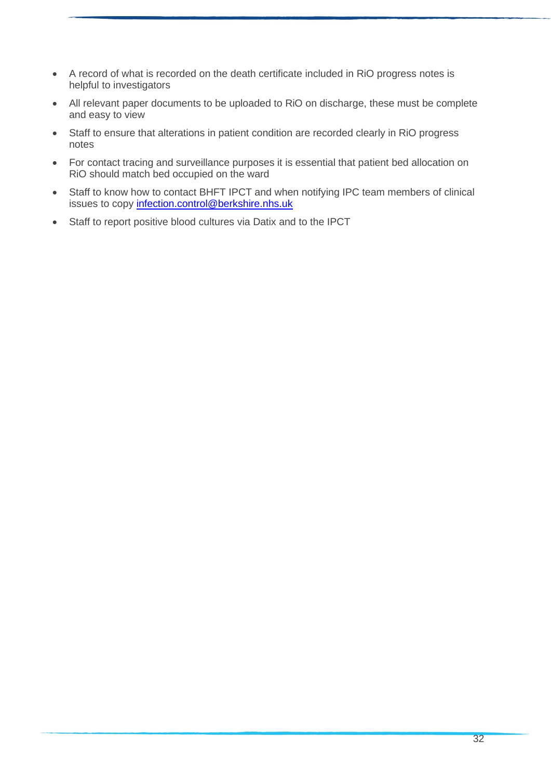- A record of what is recorded on the death certificate included in RiO progress notes is helpful to investigators
- All relevant paper documents to be uploaded to RiO on discharge, these must be complete and easy to view
- Staff to ensure that alterations in patient condition are recorded clearly in RiO progress notes
- For contact tracing and surveillance purposes it is essential that patient bed allocation on RiO should match bed occupied on the ward
- Staff to know how to contact BHFT IPCT and when notifying IPC team members of clinical issues to copy [infection.control@berkshire.nhs.uk](mailto:infection.control@berkshire.nhs.uk)
- Staff to report positive blood cultures via Datix and to the IPCT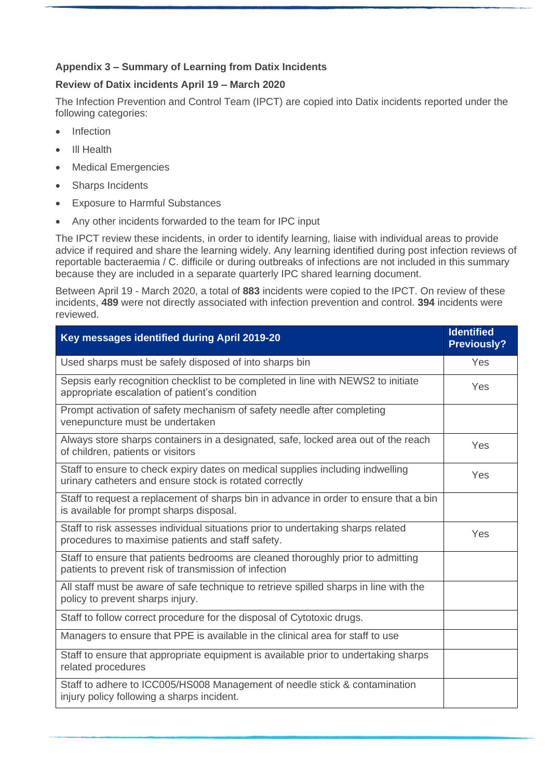## **Appendix 3 – Summary of Learning from Datix Incidents**

### **Review of Datix incidents April 19 – March 2020**

The Infection Prevention and Control Team (IPCT) are copied into Datix incidents reported under the following categories:

- Infection
- Ill Health
- Medical Emergencies
- Sharps Incidents
- Exposure to Harmful Substances
- Any other incidents forwarded to the team for IPC input

The IPCT review these incidents, in order to identify learning, liaise with individual areas to provide advice if required and share the learning widely. Any learning identified during post infection reviews of reportable bacteraemia / C. difficile or during outbreaks of infections are not included in this summary because they are included in a separate quarterly IPC shared learning document.

Between April 19 - March 2020, a total of **883** incidents were copied to the IPCT. On review of these incidents, **489** were not directly associated with infection prevention and control. **394** incidents were reviewed.

| Key messages identified during April 2019-20                                                                                              | <b>Identified</b><br><b>Previously?</b> |
|-------------------------------------------------------------------------------------------------------------------------------------------|-----------------------------------------|
| Used sharps must be safely disposed of into sharps bin                                                                                    | Yes                                     |
| Sepsis early recognition checklist to be completed in line with NEWS2 to initiate<br>appropriate escalation of patient's condition        | Yes                                     |
| Prompt activation of safety mechanism of safety needle after completing<br>venepuncture must be undertaken                                |                                         |
| Always store sharps containers in a designated, safe, locked area out of the reach<br>of children, patients or visitors                   | Yes                                     |
| Staff to ensure to check expiry dates on medical supplies including indwelling<br>urinary catheters and ensure stock is rotated correctly | Yes                                     |
| Staff to request a replacement of sharps bin in advance in order to ensure that a bin<br>is available for prompt sharps disposal.         |                                         |
| Staff to risk assesses individual situations prior to undertaking sharps related<br>procedures to maximise patients and staff safety.     | Yes                                     |
| Staff to ensure that patients bedrooms are cleaned thoroughly prior to admitting<br>patients to prevent risk of transmission of infection |                                         |
| All staff must be aware of safe technique to retrieve spilled sharps in line with the<br>policy to prevent sharps injury.                 |                                         |
| Staff to follow correct procedure for the disposal of Cytotoxic drugs.                                                                    |                                         |
| Managers to ensure that PPE is available in the clinical area for staff to use                                                            |                                         |
| Staff to ensure that appropriate equipment is available prior to undertaking sharps<br>related procedures                                 |                                         |
| Staff to adhere to ICC005/HS008 Management of needle stick & contamination<br>injury policy following a sharps incident.                  |                                         |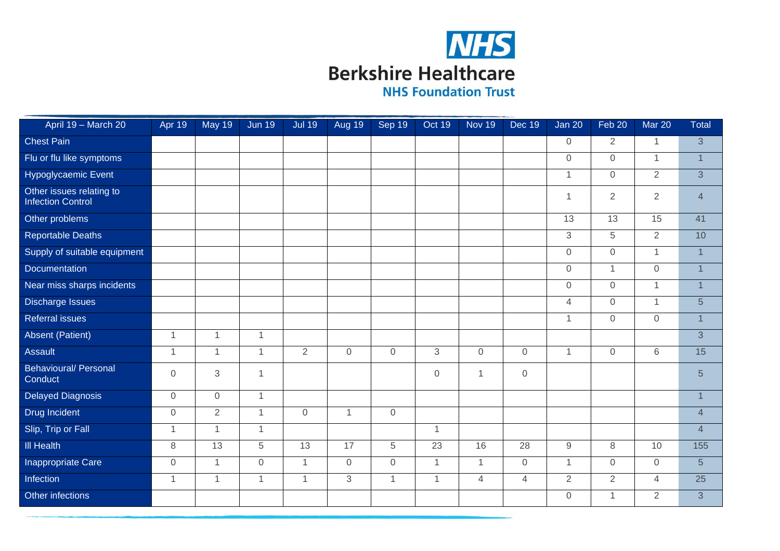

April 19 – March 20 Apr 19 | May 19 | Jun 19 | Jul 19 | Aug 19 | Sep 19 | Oct 19 | Nov 19 | Dec 19 | Jan 20 | Feb 20 | Mar 20 Total Chest Pain 0 2 1 3 Flu or flu like symptoms and the control of the control of the control of the control of the control of the control of the control of the control of the control of the control of the control of the control of the control o Hypoglycaemic Event 1 1 0 2 3 Other issues relating to<br>Infection Control Unier issues claimy to the control to the control of the control of the control of the control of the control o<br>Infection Control Other problems | | | | | | | | 13 | 15 41 Reportable Deaths **3** 10 Supply of suitable equipment 0 0 1 1 Documentation 0 1 0 1 Near miss sharps incidents **are able to the contract of the contract of the contract of the contract of the contract of the contract of the contract of the contract of the contract of the contract of the contract of the co** Discharge Issues 4 0 1 5 Referral issues 1 0 0 1 Absent (Patient) 1 1 1 3 Assault 1 1 1 2 0 0 3 0 0 1 0 6 15 Behavioural/ Personal Conduct <sup>0</sup> <sup>3</sup> <sup>1</sup> <sup>0</sup> <sup>1</sup> <sup>0</sup> <sup>5</sup> Delayed Diagnosis and the control of the control of the control of the control of the control of the control of the control of the control of the control of the control of the control of the control of the control of the c Drug Incident 0 2 1 0 1 0 4 Slip, Trip or Fall 1 1 1 1 4 Ill Health 8 13 5 13 17 5 23 16 28 9 8 10 155 **Inappropriate Care** 0 1 1 0 1 1 0 0 0 1 1 1 0 1 0 0 5 Infection 2012 - 2021 - 2021 - 2021 - 2021 - 2021 - 2021 - 2021 - 2021 - 2021 - 2021 - 2021 - 2021 - 2021 - 20 Other infections 0 1 2 3